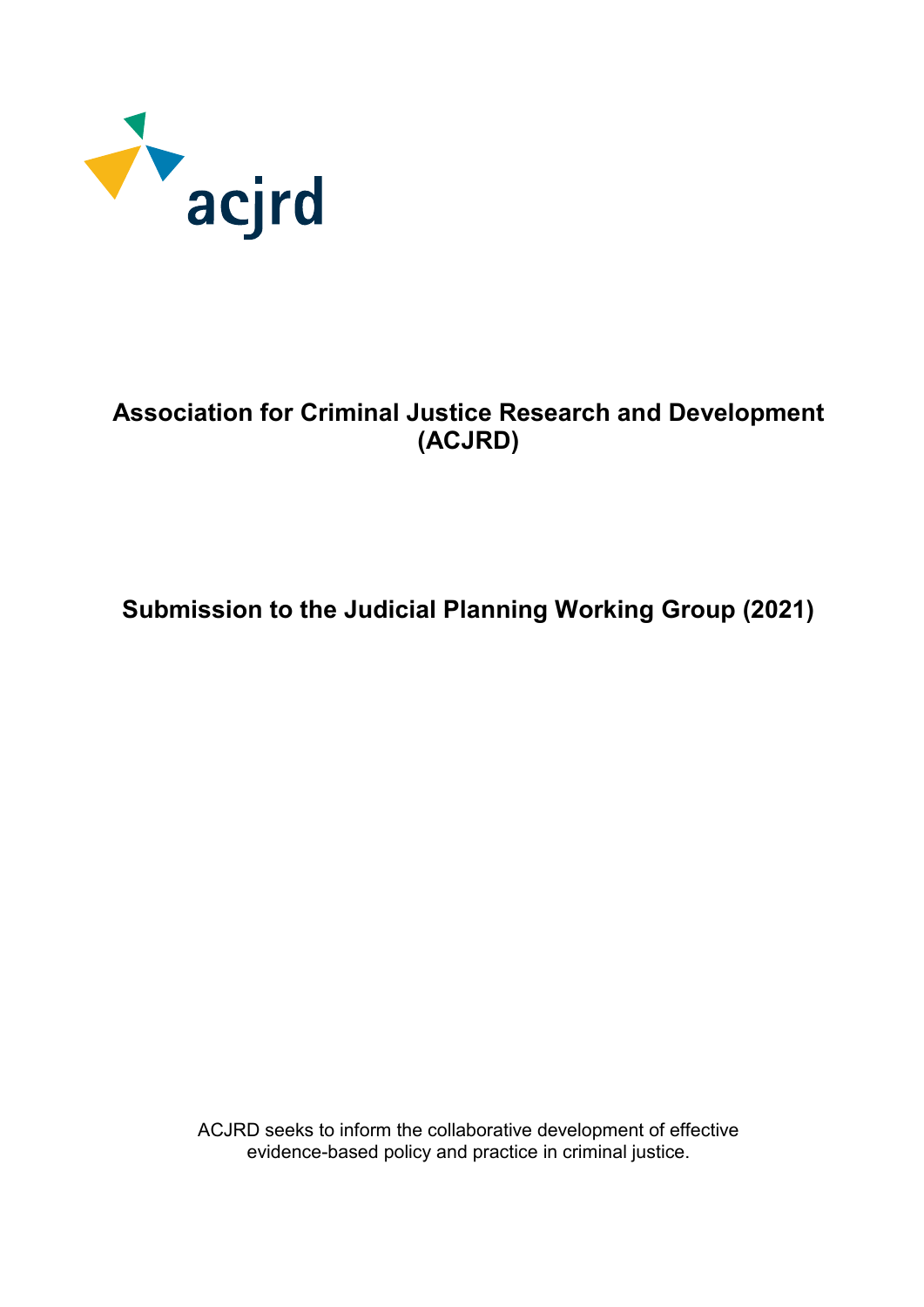

## **Association for Criminal Justice Research and Development (ACJRD)**

# **Submission to the Judicial Planning Working Group (2021)**

ACJRD seeks to inform the collaborative development of effective evidence-based policy and practice in criminal justice.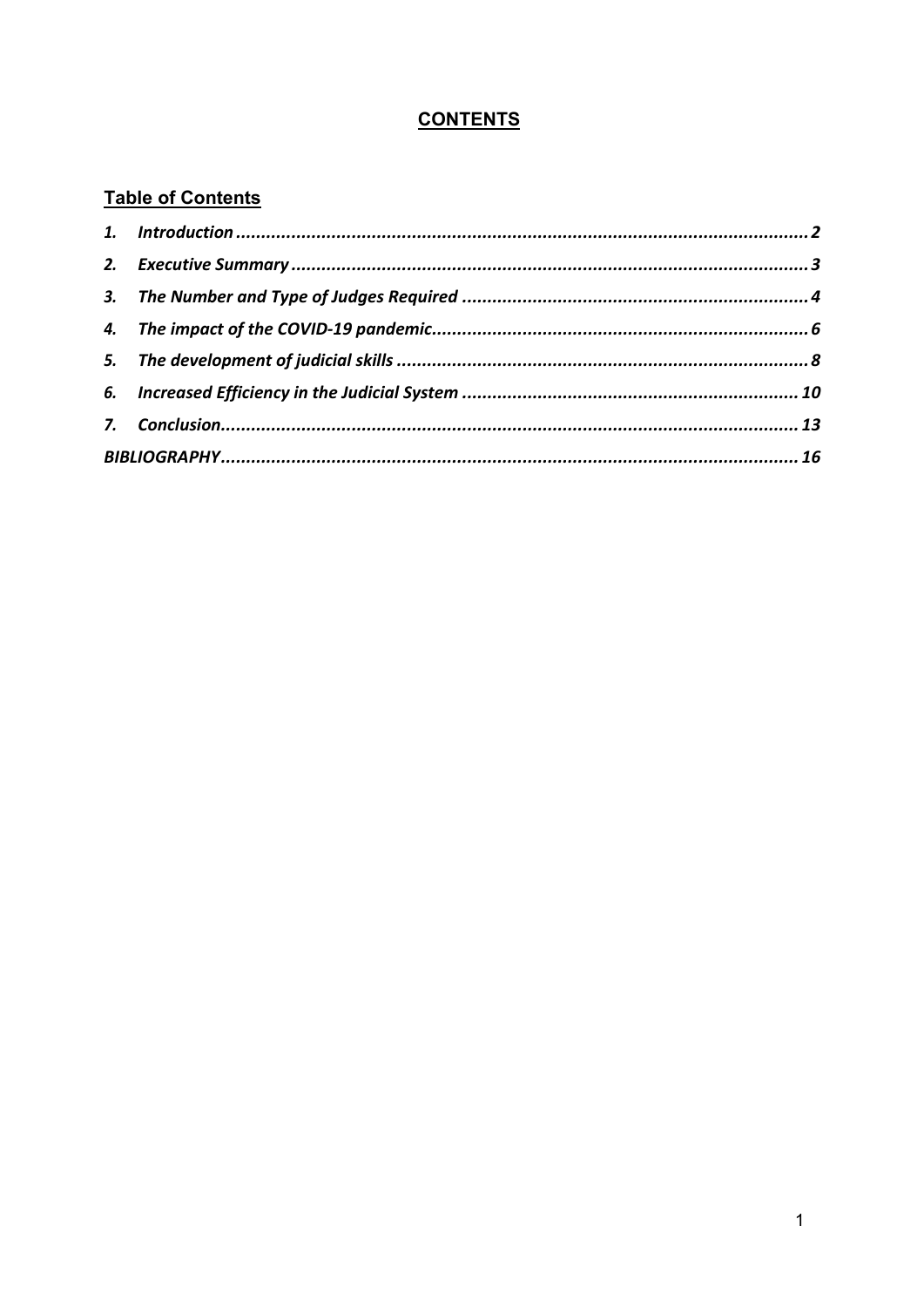### **CONTENTS**

### **Table of Contents**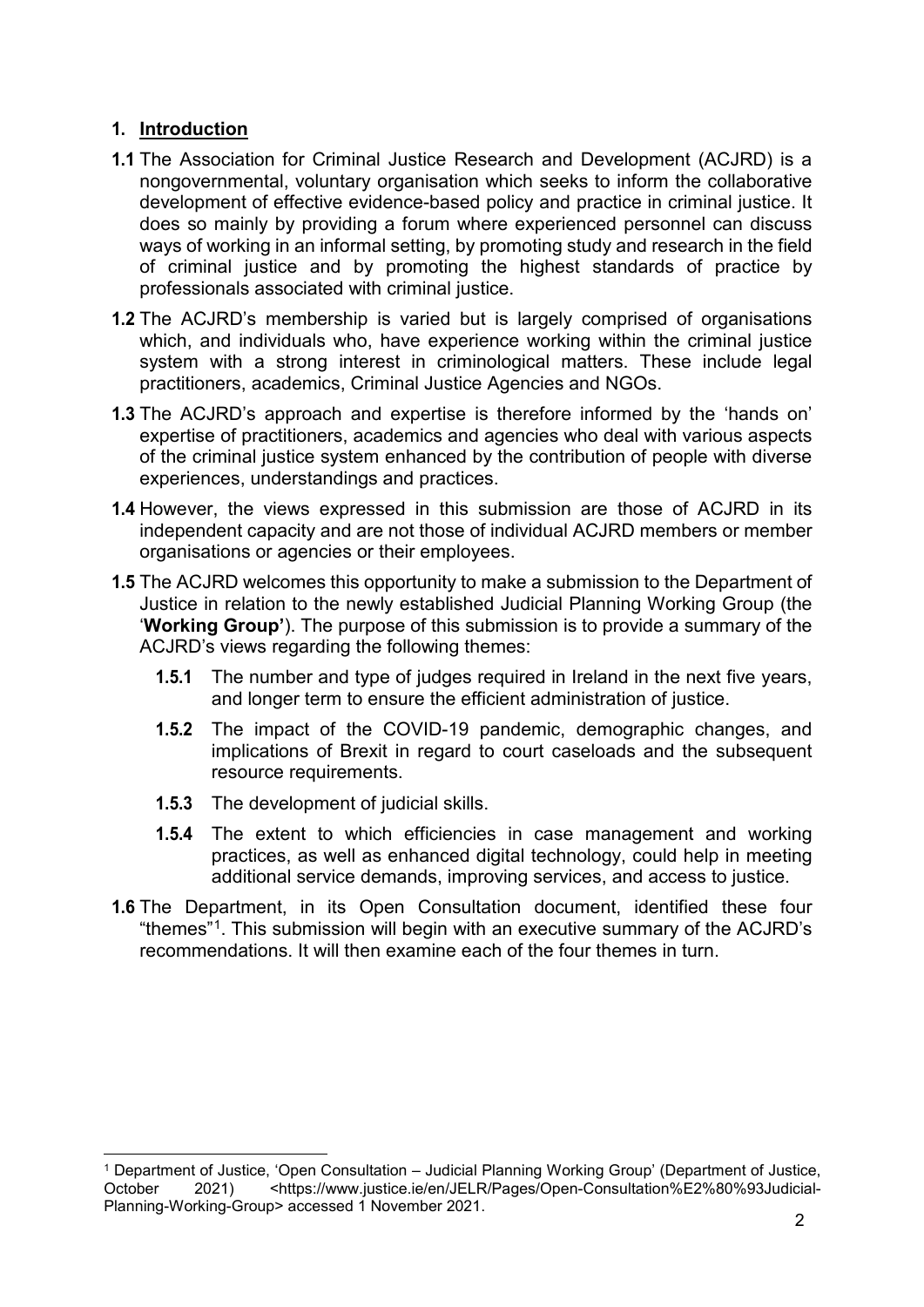#### <span id="page-2-0"></span>**1. Introduction**

- **1.1** The Association for Criminal Justice Research and Development (ACJRD) is a nongovernmental, voluntary organisation which seeks to inform the collaborative development of effective evidence-based policy and practice in criminal justice. It does so mainly by providing a forum where experienced personnel can discuss ways of working in an informal setting, by promoting study and research in the field of criminal justice and by promoting the highest standards of practice by professionals associated with criminal justice.
- **1.2** The ACJRD's membership is varied but is largely comprised of organisations which, and individuals who, have experience working within the criminal justice system with a strong interest in criminological matters. These include legal practitioners, academics, Criminal Justice Agencies and NGOs.
- **1.3** The ACJRD's approach and expertise is therefore informed by the 'hands on' expertise of practitioners, academics and agencies who deal with various aspects of the criminal justice system enhanced by the contribution of people with diverse experiences, understandings and practices.
- **1.4** However, the views expressed in this submission are those of ACJRD in its independent capacity and are not those of individual ACJRD members or member organisations or agencies or their employees.
- **1.5** The ACJRD welcomes this opportunity to make a submission to the Department of Justice in relation to the newly established Judicial Planning Working Group (the '**Working Group'**). The purpose of this submission is to provide a summary of the ACJRD's views regarding the following themes:
	- **1.5.1** The number and type of judges required in Ireland in the next five years, and longer term to ensure the efficient administration of justice.
	- **1.5.2** The impact of the COVID-19 pandemic, demographic changes, and implications of Brexit in regard to court caseloads and the subsequent resource requirements.
	- **1.5.3** The development of judicial skills.
	- **1.5.4** The extent to which efficiencies in case management and working practices, as well as enhanced digital technology, could help in meeting additional service demands, improving services, and access to justice.
- **1.6** The Department, in its Open Consultation document, identified these four "themes"[1](#page-2-1). This submission will begin with an executive summary of the ACJRD's recommendations. It will then examine each of the four themes in turn.

<span id="page-2-1"></span> <sup>1</sup> Department of Justice, 'Open Consultation – Judicial Planning Working Group' (Department of Justice, October 2021) <https://www.justice.ie/en/JELR/Pages/Open-Consultation%E2%80%93Judicial-Planning-Working-Group> accessed 1 November 2021.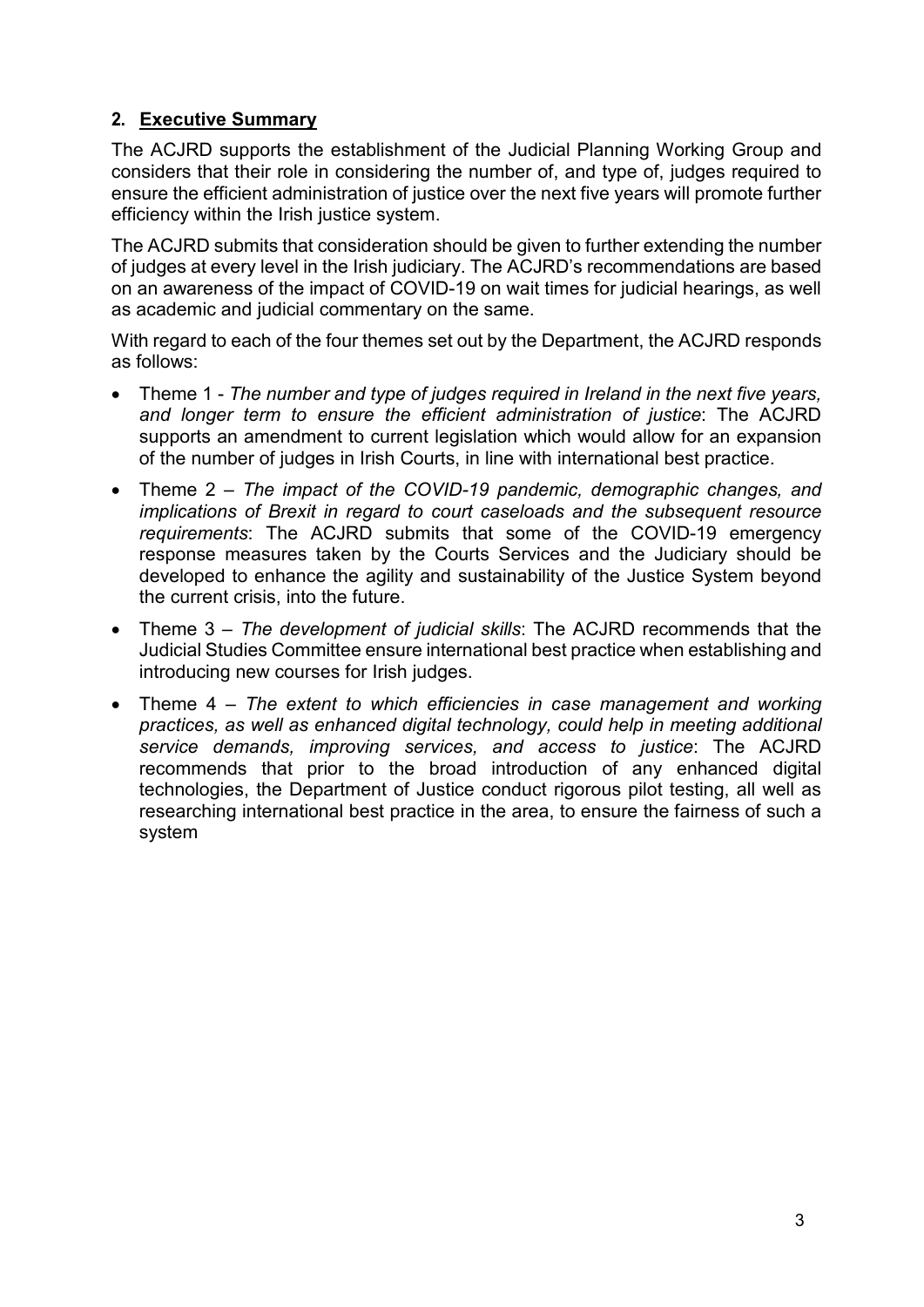### <span id="page-3-0"></span>**2. Executive Summary**

The ACJRD supports the establishment of the Judicial Planning Working Group and considers that their role in considering the number of, and type of, judges required to ensure the efficient administration of justice over the next five years will promote further efficiency within the Irish justice system.

The ACJRD submits that consideration should be given to further extending the number of judges at every level in the Irish judiciary. The ACJRD's recommendations are based on an awareness of the impact of COVID-19 on wait times for judicial hearings, as well as academic and judicial commentary on the same.

With regard to each of the four themes set out by the Department, the ACJRD responds as follows:

- Theme 1 *The number and type of judges required in Ireland in the next five years, and longer term to ensure the efficient administration of justice*: The ACJRD supports an amendment to current legislation which would allow for an expansion of the number of judges in Irish Courts, in line with international best practice.
- Theme 2 *The impact of the COVID-19 pandemic, demographic changes, and implications of Brexit in regard to court caseloads and the subsequent resource requirements*: The ACJRD submits that some of the COVID-19 emergency response measures taken by the Courts Services and the Judiciary should be developed to enhance the agility and sustainability of the Justice System beyond the current crisis, into the future.
- Theme 3 *The development of judicial skills*: The ACJRD recommends that the Judicial Studies Committee ensure international best practice when establishing and introducing new courses for Irish judges.
- Theme 4 *The extent to which efficiencies in case management and working practices, as well as enhanced digital technology, could help in meeting additional service demands, improving services, and access to justice*: The ACJRD recommends that prior to the broad introduction of any enhanced digital technologies, the Department of Justice conduct rigorous pilot testing, all well as researching international best practice in the area, to ensure the fairness of such a system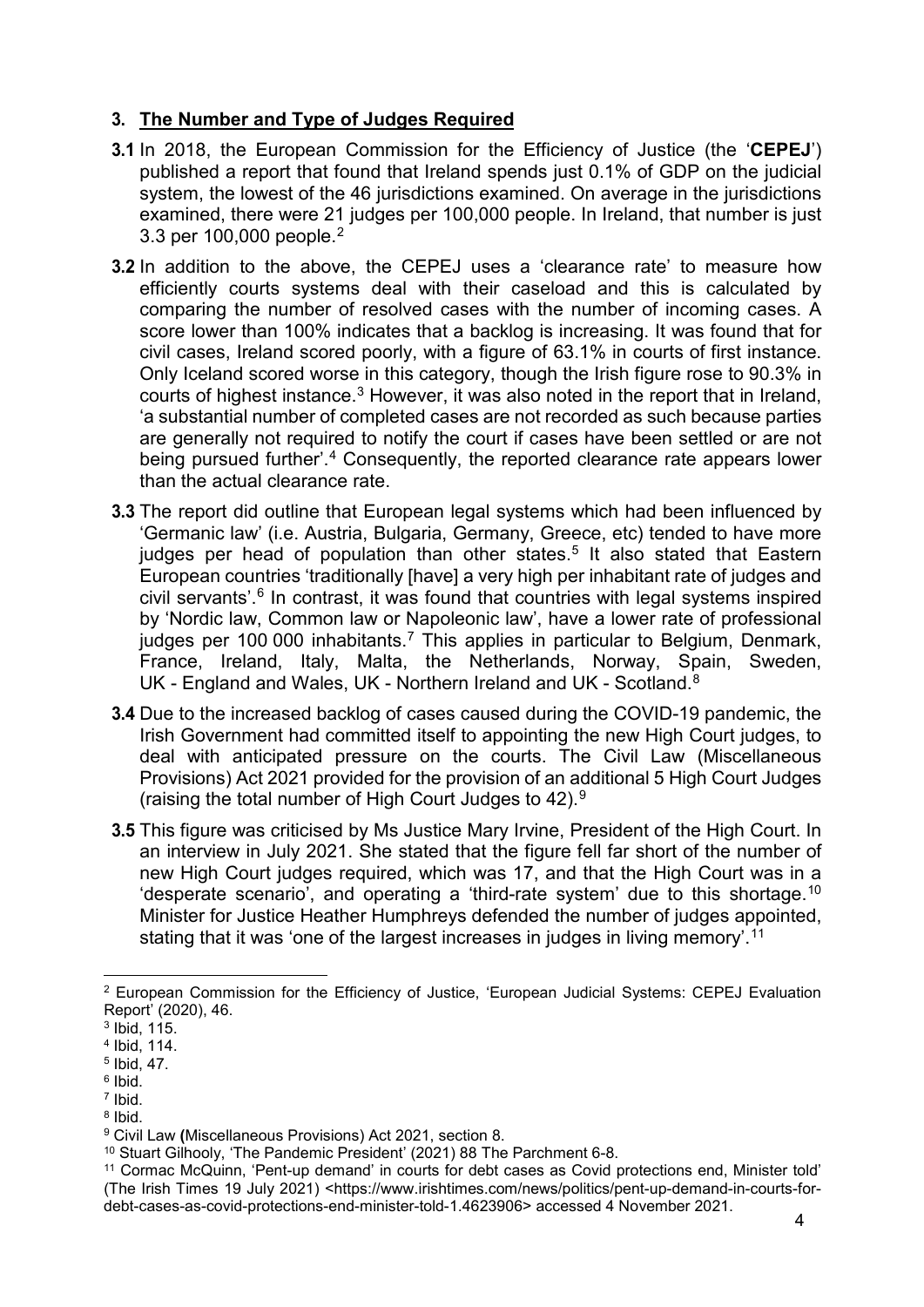#### <span id="page-4-0"></span>**3. The Number and Type of Judges Required**

- **3.1** In 2018, the European Commission for the Efficiency of Justice (the '**CEPEJ**') published a report that found that Ireland spends just 0.1% of GDP on the judicial system, the lowest of the 46 jurisdictions examined. On average in the jurisdictions examined, there were 21 judges per 100,000 people. In Ireland, that number is just 3.3 per 100,000 people.[2](#page-4-1)
- **3.2** In addition to the above, the CEPEJ uses a 'clearance rate' to measure how efficiently courts systems deal with their caseload and this is calculated by comparing the number of resolved cases with the number of incoming cases. A score lower than 100% indicates that a backlog is increasing. It was found that for civil cases, Ireland scored poorly, with a figure of 63.1% in courts of first instance. Only Iceland scored worse in this category, though the Irish figure rose to 90.3% in courts of highest instance.[3](#page-4-2) However, it was also noted in the report that in Ireland, 'a substantial number of completed cases are not recorded as such because parties are generally not required to notify the court if cases have been settled or are not being pursued further'. [4](#page-4-3) Consequently, the reported clearance rate appears lower than the actual clearance rate.
- **3.3** The report did outline that European legal systems which had been influenced by 'Germanic law' (i.e. Austria, Bulgaria, Germany, Greece, etc) tended to have more judges per head of population than other states.<sup>[5](#page-4-4)</sup> It also stated that Eastern European countries 'traditionally [have] a very high per inhabitant rate of judges and civil servants'. [6](#page-4-5) In contrast, it was found that countries with legal systems inspired by 'Nordic law, Common law or Napoleonic law', have a lower rate of professional judges per 100 000 inhabitants.<sup>[7](#page-4-6)</sup> This applies in particular to Belgium, Denmark, France, Ireland, Italy, Malta, the Netherlands, Norway, Spain, Sweden, UK - England and Wales, UK - Northern Ireland and UK - Scotland.<sup>[8](#page-4-7)</sup>
- **3.4** Due to the increased backlog of cases caused during the COVID-19 pandemic, the Irish Government had committed itself to appointing the new High Court judges, to deal with anticipated pressure on the courts. The Civil Law (Miscellaneous Provisions) Act 2021 provided for the provision of an additional 5 High Court Judges (raising the total number of High Court Judges to 42).[9](#page-4-8)
- **3.5** This figure was criticised by Ms Justice Mary Irvine, President of the High Court. In an interview in July 2021. She stated that the figure fell far short of the number of new High Court judges required, which was 17, and that the High Court was in a 'desperate scenario', and operating a 'third-rate system' due to this shortage.<sup>[10](#page-4-9)</sup> Minister for Justice Heather Humphreys defended the number of judges appointed, stating that it was 'one of the largest increases in judges in living memory'.<sup>[11](#page-4-10)</sup>

<span id="page-4-6"></span><sup>7</sup> Ibid.

<span id="page-4-1"></span> <sup>2</sup> European Commission for the Efficiency of Justice, 'European Judicial Systems: CEPEJ Evaluation Report' (2020), 46.

<span id="page-4-2"></span><sup>3</sup> Ibid, 115.

<span id="page-4-3"></span><sup>4</sup> Ibid, 114.

<span id="page-4-4"></span><sup>5</sup> Ibid, 47.

<span id="page-4-5"></span> $6$  Ibid.

<span id="page-4-7"></span><sup>8</sup> Ibid.

<span id="page-4-8"></span><sup>9</sup> Civil Law **(**Miscellaneous Provisions) Act 2021, section 8.

<span id="page-4-9"></span><sup>10</sup> Stuart Gilhooly, 'The Pandemic President' (2021) 88 The Parchment 6-8.

<span id="page-4-10"></span><sup>11</sup> Cormac McQuinn, 'Pent-up demand' in courts for debt cases as Covid protections end, Minister told' (The Irish Times 19 July 2021) <https://www.irishtimes.com/news/politics/pent-up-demand-in-courts-fordebt-cases-as-covid-protections-end-minister-told-1.4623906> accessed 4 November 2021.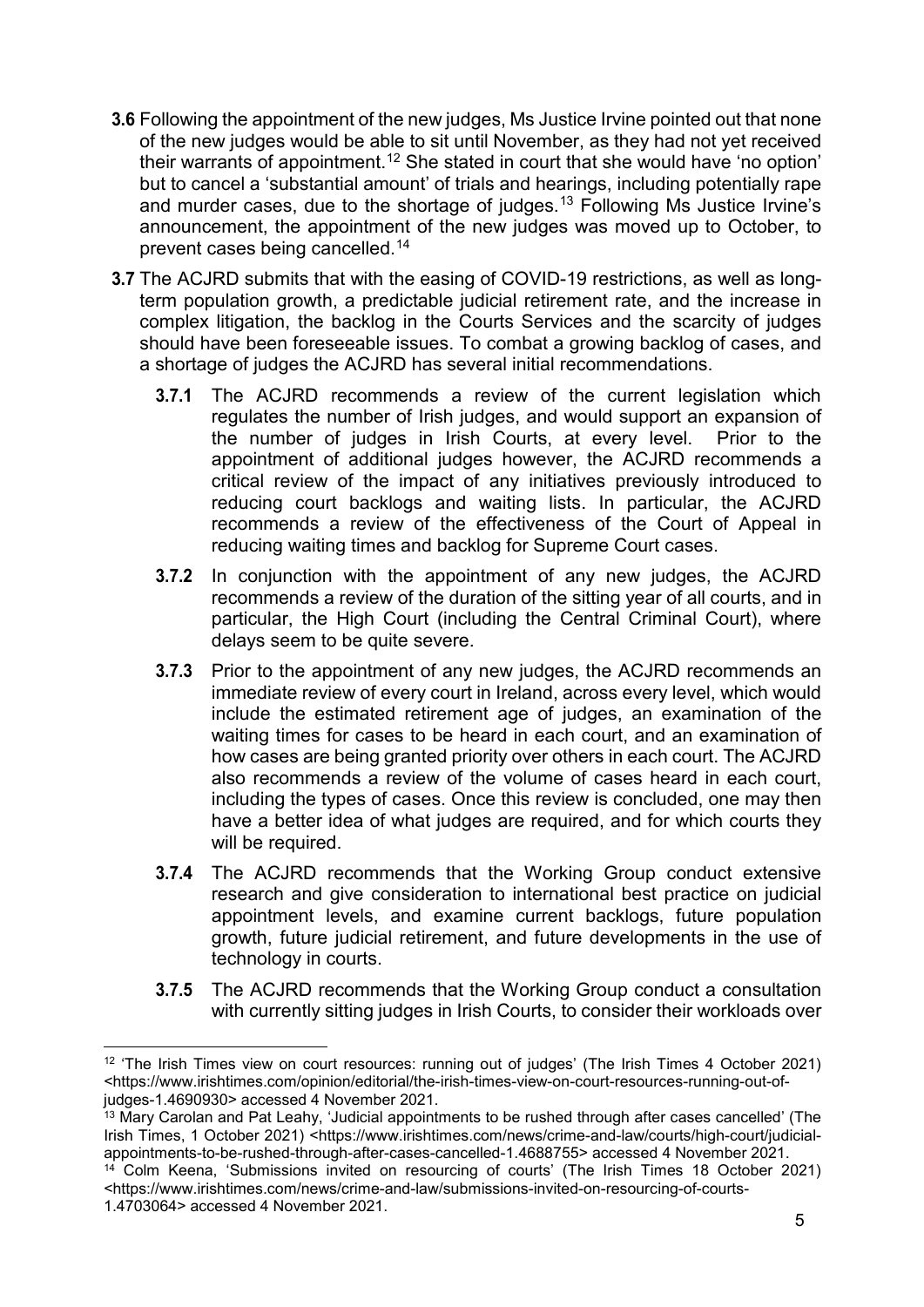- **3.6** Following the appointment of the new judges, Ms Justice Irvine pointed out that none of the new judges would be able to sit until November, as they had not yet received their warrants of appointment.[12](#page-5-0) She stated in court that she would have 'no option' but to cancel a 'substantial amount' of trials and hearings, including potentially rape and murder cases, due to the shortage of judges.[13](#page-5-1) Following Ms Justice Irvine's announcement, the appointment of the new judges was moved up to October, to prevent cases being cancelled.[14](#page-5-2)
- **3.7** The ACJRD submits that with the easing of COVID-19 restrictions, as well as longterm population growth, a predictable judicial retirement rate, and the increase in complex litigation, the backlog in the Courts Services and the scarcity of judges should have been foreseeable issues. To combat a growing backlog of cases, and a shortage of judges the ACJRD has several initial recommendations.
	- **3.7.1** The ACJRD recommends a review of the current legislation which regulates the number of Irish judges, and would support an expansion of the number of judges in Irish Courts, at every level. Prior to the appointment of additional judges however, the ACJRD recommends a critical review of the impact of any initiatives previously introduced to reducing court backlogs and waiting lists. In particular, the ACJRD recommends a review of the effectiveness of the Court of Appeal in reducing waiting times and backlog for Supreme Court cases.
	- **3.7.2** In conjunction with the appointment of any new judges, the ACJRD recommends a review of the duration of the sitting year of all courts, and in particular, the High Court (including the Central Criminal Court), where delays seem to be quite severe.
	- **3.7.3** Prior to the appointment of any new judges, the ACJRD recommends an immediate review of every court in Ireland, across every level, which would include the estimated retirement age of judges, an examination of the waiting times for cases to be heard in each court, and an examination of how cases are being granted priority over others in each court. The ACJRD also recommends a review of the volume of cases heard in each court, including the types of cases. Once this review is concluded, one may then have a better idea of what judges are required, and for which courts they will be required.
	- **3.7.4** The ACJRD recommends that the Working Group conduct extensive research and give consideration to international best practice on judicial appointment levels, and examine current backlogs, future population growth, future judicial retirement, and future developments in the use of technology in courts.
	- **3.7.5** The ACJRD recommends that the Working Group conduct a consultation with currently sitting judges in Irish Courts, to consider their workloads over

<span id="page-5-0"></span> <sup>12</sup> 'The Irish Times view on court resources: running out of judges' (The Irish Times 4 October 2021) <https://www.irishtimes.com/opinion/editorial/the-irish-times-view-on-court-resources-running-out-ofjudges-1.4690930> accessed 4 November 2021.

<span id="page-5-1"></span><sup>13</sup> Mary Carolan and Pat Leahy, 'Judicial appointments to be rushed through after cases cancelled' (The Irish Times, 1 October 2021) <https://www.irishtimes.com/news/crime-and-law/courts/high-court/judicialappointments-to-be-rushed-through-after-cases-cancelled-1.4688755> accessed 4 November 2021.

<span id="page-5-2"></span><sup>14</sup> Colm Keena, 'Submissions invited on resourcing of courts' (The Irish Times 18 October 2021) <https://www.irishtimes.com/news/crime-and-law/submissions-invited-on-resourcing-of-courts-1.4703064> accessed 4 November 2021.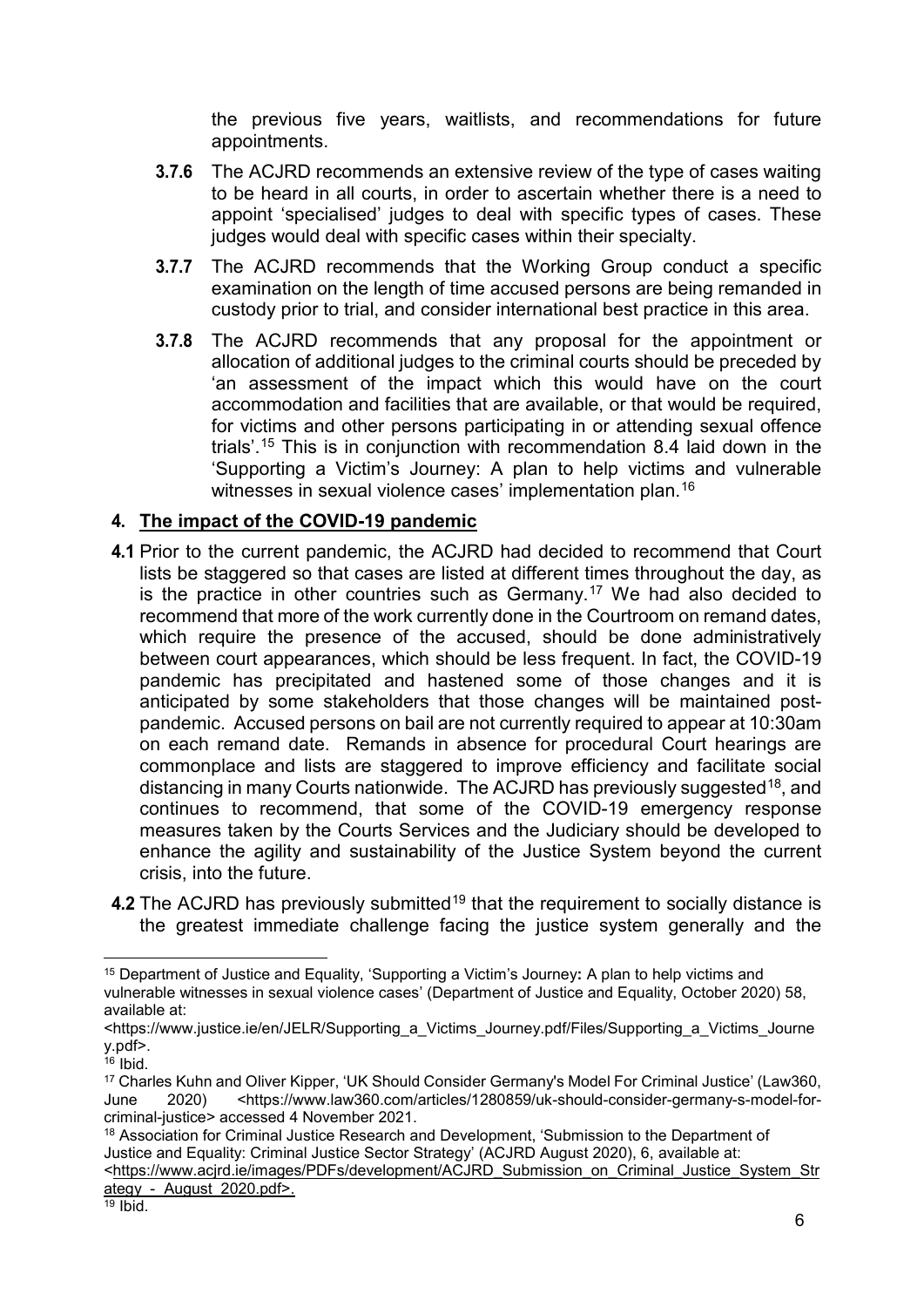the previous five years, waitlists, and recommendations for future appointments.

- **3.7.6** The ACJRD recommends an extensive review of the type of cases waiting to be heard in all courts, in order to ascertain whether there is a need to appoint 'specialised' judges to deal with specific types of cases. These judges would deal with specific cases within their specialty.
- **3.7.7** The ACJRD recommends that the Working Group conduct a specific examination on the length of time accused persons are being remanded in custody prior to trial, and consider international best practice in this area.
- **3.7.8** The ACJRD recommends that any proposal for the appointment or allocation of additional judges to the criminal courts should be preceded by 'an assessment of the impact which this would have on the court accommodation and facilities that are available, or that would be required, for victims and other persons participating in or attending sexual offence trials'.[15](#page-6-1) This is in conjunction with recommendation 8.4 laid down in the 'Supporting a Victim's Journey: A plan to help victims and vulnerable witnesses in sexual violence cases' implementation plan.<sup>[16](#page-6-2)</sup>

#### <span id="page-6-0"></span>**4. The impact of the COVID-19 pandemic**

- **4.1** Prior to the current pandemic, the ACJRD had decided to recommend that Court lists be staggered so that cases are listed at different times throughout the day, as is the practice in other countries such as Germany.<sup>[17](#page-6-3)</sup> We had also decided to recommend that more of the work currently done in the Courtroom on remand dates, which require the presence of the accused, should be done administratively between court appearances, which should be less frequent. In fact, the COVID-19 pandemic has precipitated and hastened some of those changes and it is anticipated by some stakeholders that those changes will be maintained postpandemic. Accused persons on bail are not currently required to appear at 10:30am on each remand date. Remands in absence for procedural Court hearings are commonplace and lists are staggered to improve efficiency and facilitate social distancing in many Courts nationwide. The ACJRD has previously suggested<sup>18</sup>, and continues to recommend, that some of the COVID-19 emergency response measures taken by the Courts Services and the Judiciary should be developed to enhance the agility and sustainability of the Justice System beyond the current crisis, into the future.
- **4.2** The ACJRD has previously submitted<sup>[19](#page-6-5)</sup> that the requirement to socially distance is the greatest immediate challenge facing the justice system generally and the

<span id="page-6-1"></span> <sup>15</sup> Department of Justice and Equality, 'Supporting a Victim's Journey**:** A plan to help victims and vulnerable witnesses in sexual violence cases' (Department of Justice and Equality, October 2020) 58, available at:

<sup>&</sup>lt;https://www.justice.ie/en/JELR/Supporting\_a\_Victims\_Journey.pdf/Files/Supporting\_a\_Victims\_Journe y.pdf>.

<span id="page-6-2"></span> $16$  Ibid.

<span id="page-6-3"></span><sup>&</sup>lt;sup>17</sup> Charles Kuhn and Oliver Kipper, 'UK Should Consider Germany's Model For Criminal Justice' (Law360,<br>June 2020) sett the www.law360.com/articles/1280859/uk-should-consider-germany-s-model-for- $\text{th}\frac{1}{2}$  -thttps://www.law360.com/articles/1280859/uk-should-consider-germany-s-model-forcriminal-justice> accessed 4 November 2021.

<span id="page-6-4"></span><sup>&</sup>lt;sup>18</sup> Association for Criminal Justice Research and Development, 'Submission to the Department of Justice and Equality: Criminal Justice Sector Strategy' (ACJRD August 2020), 6, available at:

[<sup>&</sup>lt;https://www.acjrd.ie/images/PDFs/development/ACJRD\\_Submission\\_on\\_Criminal\\_Justice\\_System\\_Str](https://www.acjrd.ie/images/PDFs/development/ACJRD_Submission_on_Criminal_Justice_System_Strategy_-_August_2020.pdf) ategy - August 2020.pdf>.

<span id="page-6-5"></span> $19$  Ibid.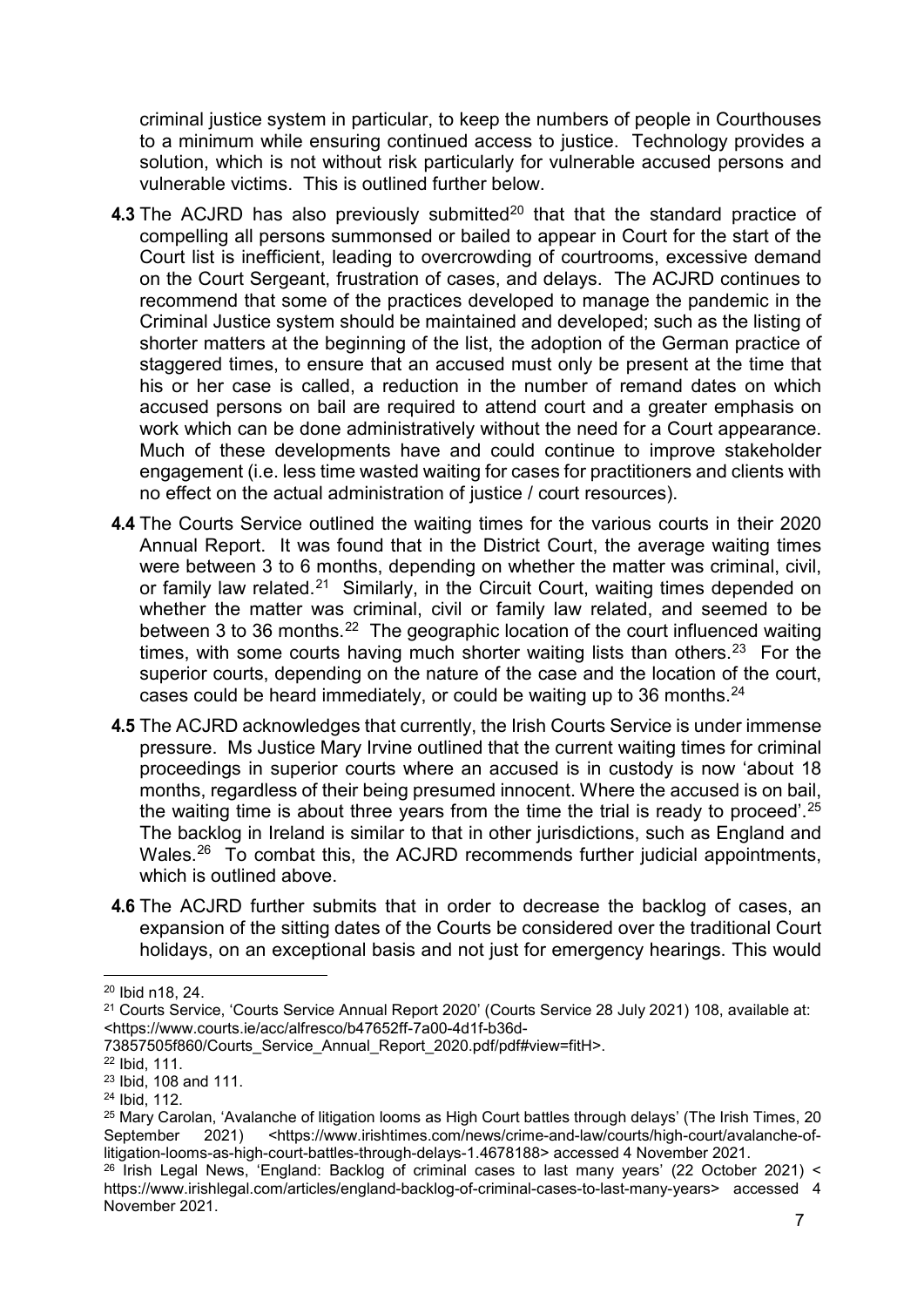criminal justice system in particular, to keep the numbers of people in Courthouses to a minimum while ensuring continued access to justice. Technology provides a solution, which is not without risk particularly for vulnerable accused persons and vulnerable victims. This is outlined further below.

- **4.3** The ACJRD has also previously submitted<sup>[20](#page-7-0)</sup> that that the standard practice of compelling all persons summonsed or bailed to appear in Court for the start of the Court list is inefficient, leading to overcrowding of courtrooms, excessive demand on the Court Sergeant, frustration of cases, and delays. The ACJRD continues to recommend that some of the practices developed to manage the pandemic in the Criminal Justice system should be maintained and developed; such as the listing of shorter matters at the beginning of the list, the adoption of the German practice of staggered times, to ensure that an accused must only be present at the time that his or her case is called, a reduction in the number of remand dates on which accused persons on bail are required to attend court and a greater emphasis on work which can be done administratively without the need for a Court appearance. Much of these developments have and could continue to improve stakeholder engagement (i.e. less time wasted waiting for cases for practitioners and clients with no effect on the actual administration of justice / court resources).
- **4.4** The Courts Service outlined the waiting times for the various courts in their 2020 Annual Report. It was found that in the District Court, the average waiting times were between 3 to 6 months, depending on whether the matter was criminal, civil, or family law related.<sup>[21](#page-7-1)</sup> Similarly, in the Circuit Court, waiting times depended on whether the matter was criminal, civil or family law related, and seemed to be between 3 to 36 months.<sup>[22](#page-7-2)</sup> The geographic location of the court influenced waiting times, with some courts having much shorter waiting lists than others.<sup>[23](#page-7-3)</sup> For the superior courts, depending on the nature of the case and the location of the court, cases could be heard immediately, or could be waiting up to 36 months.  $24$
- **4.5** The ACJRD acknowledges that currently, the Irish Courts Service is under immense pressure. Ms Justice Mary Irvine outlined that the current waiting times for criminal proceedings in superior courts where an accused is in custody is now 'about 18 months, regardless of their being presumed innocent. Where the accused is on bail, the waiting time is about three years from the time the trial is ready to proceed'.<sup>[25](#page-7-5)</sup> The backlog in Ireland is similar to that in other jurisdictions, such as England and Wales.<sup>[26](#page-7-6)</sup> To combat this, the ACJRD recommends further judicial appointments, which is outlined above.
- **4.6** The ACJRD further submits that in order to decrease the backlog of cases, an expansion of the sitting dates of the Courts be considered over the traditional Court holidays, on an exceptional basis and not just for emergency hearings. This would

<span id="page-7-0"></span> <sup>20</sup> Ibid n18, 24.

<span id="page-7-1"></span><sup>21</sup> Courts Service, 'Courts Service Annual Report 2020' (Courts Service 28 July 2021) 108, available at: <https://www.courts.ie/acc/alfresco/b47652ff-7a00-4d1f-b36d-

<sup>73857505</sup>f860/Courts\_Service\_Annual\_Report\_2020.pdf/pdf#view=fitH>.

<span id="page-7-2"></span><sup>22</sup> Ibid, 111.

<span id="page-7-3"></span><sup>23</sup> Ibid, 108 and 111.

<span id="page-7-4"></span><sup>24</sup> Ibid, 112.

<span id="page-7-5"></span> $^{25}$  Mary Carolan, 'Avalanche of litigation looms as High Court battles through delays' (The Irish Times, 20<br>September 2021) <https://www.irishtimes.com/news/crime-and-law/courts/high-court/avalanche-of-September 2021) <https://www.irishtimes.com/news/crime-and-law/courts/high-court/avalanche-oflitigation-looms-as-high-court-battles-through-delays-1.4678188> accessed 4 November 2021.

<span id="page-7-6"></span><sup>&</sup>lt;sup>26</sup> Irish Legal News, 'England: Backlog of criminal cases to last many years' (22 October 2021) < https://www.irishlegal.com/articles/england-backlog-of-criminal-cases-to-last-many-years> accessed 4 November 2021.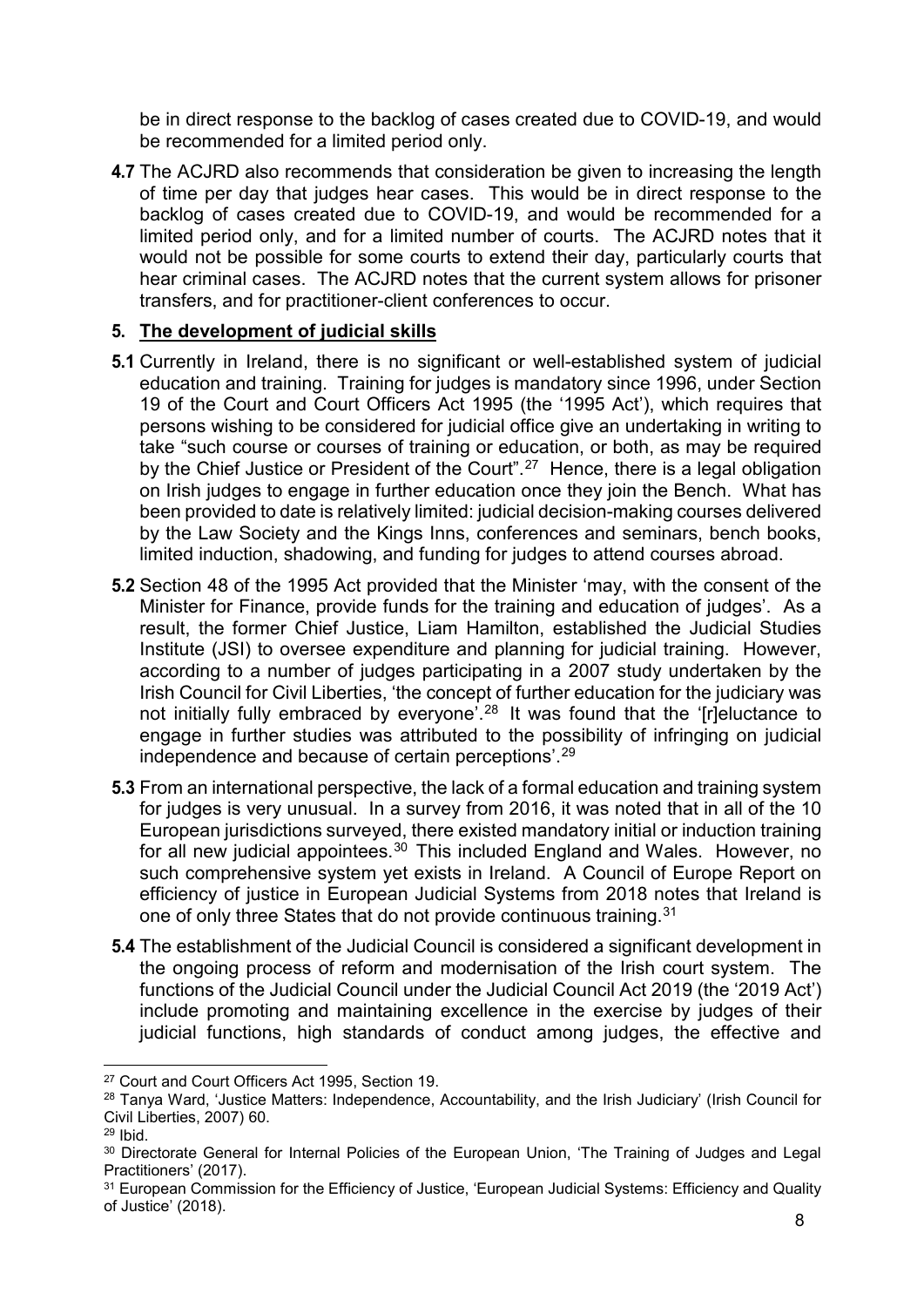be in direct response to the backlog of cases created due to COVID-19, and would be recommended for a limited period only.

**4.7** The ACJRD also recommends that consideration be given to increasing the length of time per day that judges hear cases. This would be in direct response to the backlog of cases created due to COVID-19, and would be recommended for a limited period only, and for a limited number of courts. The ACJRD notes that it would not be possible for some courts to extend their day, particularly courts that hear criminal cases. The ACJRD notes that the current system allows for prisoner transfers, and for practitioner-client conferences to occur.

#### <span id="page-8-0"></span>**5. The development of judicial skills**

- **5.1** Currently in Ireland, there is no significant or well-established system of judicial education and training. Training for judges is mandatory since 1996, under Section 19 of the Court and Court Officers Act 1995 (the '1995 Act'), which requires that persons wishing to be considered for judicial office give an undertaking in writing to take "such course or courses of training or education, or both, as may be required by the Chief Justice or President of the Court".<sup>[27](#page-8-1)</sup> Hence, there is a legal obligation on Irish judges to engage in further education once they join the Bench. What has been provided to date is relatively limited: judicial decision-making courses delivered by the Law Society and the Kings Inns, conferences and seminars, bench books, limited induction, shadowing, and funding for judges to attend courses abroad.
- **5.2** Section 48 of the 1995 Act provided that the Minister 'may, with the consent of the Minister for Finance, provide funds for the training and education of judges'. As a result, the former Chief Justice, Liam Hamilton, established the Judicial Studies Institute (JSI) to oversee expenditure and planning for judicial training. However, according to a number of judges participating in a 2007 study undertaken by the Irish Council for Civil Liberties, 'the concept of further education for the judiciary was not initially fully embraced by everyone'.[28](#page-8-2) It was found that the '[r]eluctance to engage in further studies was attributed to the possibility of infringing on judicial independence and because of certain perceptions'.[29](#page-8-3)
- **5.3** From an international perspective, the lack of a formal education and training system for judges is very unusual. In a survey from 2016, it was noted that in all of the 10 European jurisdictions surveyed, there existed mandatory initial or induction training for all new judicial appointees.<sup>[30](#page-8-4)</sup> This included England and Wales. However, no such comprehensive system yet exists in Ireland. A Council of Europe Report on efficiency of justice in European Judicial Systems from 2018 notes that Ireland is one of only three States that do not provide continuous training.[31](#page-8-5)
- **5.4** The establishment of the Judicial Council is considered a significant development in the ongoing process of reform and modernisation of the Irish court system. The functions of the Judicial Council under the Judicial Council Act 2019 (the '2019 Act') include promoting and maintaining excellence in the exercise by judges of their judicial functions, high standards of conduct among judges, the effective and

<span id="page-8-1"></span> <sup>27</sup> Court and Court Officers Act 1995, Section 19.

<span id="page-8-2"></span><sup>&</sup>lt;sup>28</sup> Tanya Ward, 'Justice Matters: Independence, Accountability, and the Irish Judiciary' (Irish Council for Civil Liberties, 2007) 60.

<span id="page-8-3"></span> $29$  Ibid.

<span id="page-8-4"></span><sup>&</sup>lt;sup>30</sup> Directorate General for Internal Policies of the European Union, 'The Training of Judges and Legal Practitioners' (2017).

<span id="page-8-5"></span><sup>&</sup>lt;sup>31</sup> European Commission for the Efficiency of Justice, 'European Judicial Systems: Efficiency and Quality of Justice' (2018).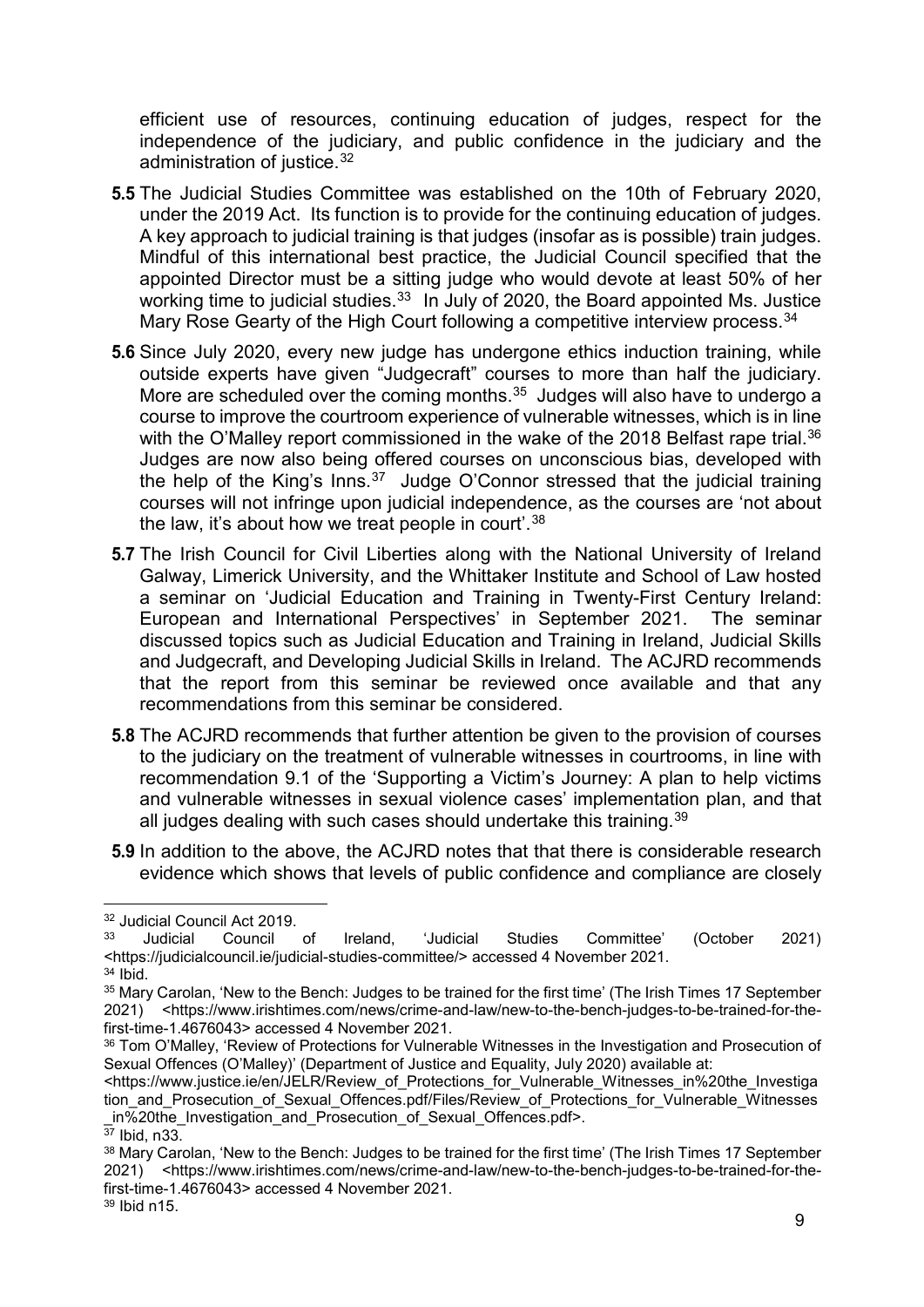efficient use of resources, continuing education of judges, respect for the independence of the judiciary, and public confidence in the judiciary and the administration of justice.[32](#page-9-0)

- **5.5** The Judicial Studies Committee was established on the 10th of February 2020, under the 2019 Act. Its function is to provide for the continuing education of judges. A key approach to judicial training is that judges (insofar as is possible) train judges. Mindful of this international best practice, the Judicial Council specified that the appointed Director must be a sitting judge who would devote at least 50% of her working time to judicial studies.<sup>[33](#page-9-1)</sup> In July of 2020, the Board appointed Ms. Justice Mary Rose Gearty of the High Court following a competitive interview process.<sup>[34](#page-9-2)</sup>
- **5.6** Since July 2020, every new judge has undergone ethics induction training, while outside experts have given "Judgecraft" courses to more than half the judiciary. More are scheduled over the coming months.<sup>[35](#page-9-3)</sup> Judges will also have to undergo a course to improve the courtroom experience of vulnerable witnesses, which is in line with the O'Malley report commissioned in the wake of the 2018 Belfast rape trial.<sup>[36](#page-9-4)</sup> Judges are now also being offered courses on unconscious bias, developed with the help of the King's Inns. $37$  Judge O'Connor stressed that the judicial training courses will not infringe upon judicial independence, as the courses are 'not about the law, it's about how we treat people in court'.<sup>[38](#page-9-6)</sup>
- **5.7** The Irish Council for Civil Liberties along with the National University of Ireland Galway, Limerick University, and the Whittaker Institute and School of Law hosted a seminar on 'Judicial Education and Training in Twenty-First Century Ireland: European and International Perspectives' in September 2021. The seminar discussed topics such as Judicial Education and Training in Ireland, Judicial Skills and Judgecraft, and Developing Judicial Skills in Ireland. The ACJRD recommends that the report from this seminar be reviewed once available and that any recommendations from this seminar be considered.
- **5.8** The ACJRD recommends that further attention be given to the provision of courses to the judiciary on the treatment of vulnerable witnesses in courtrooms, in line with recommendation 9.1 of the 'Supporting a Victim's Journey: A plan to help victims and vulnerable witnesses in sexual violence cases' implementation plan, and that all judges dealing with such cases should undertake this training.  $39$
- **5.9** In addition to the above, the ACJRD notes that that there is considerable research evidence which shows that levels of public confidence and compliance are closely

<span id="page-9-0"></span> $32$  Judicial Council Act 2019.

<span id="page-9-1"></span><sup>33</sup> Judicial Council of Ireland, 'Judicial Studies Committee' (October 2021) <https://judicialcouncil.ie/judicial-studies-committee/> accessed 4 November 2021. <sup>34</sup> Ibid.

<span id="page-9-3"></span><span id="page-9-2"></span><sup>&</sup>lt;sup>35</sup> Mary Carolan, 'New to the Bench: Judges to be trained for the first time' (The Irish Times 17 September 2021) <https://www.irishtimes.com/news/crime-and-law/new-to-the-bench-judges-to-be-trained-for-thefirst-time-1.4676043> accessed 4 November 2021.

<span id="page-9-4"></span><sup>36</sup> Tom O'Malley, 'Review of Protections for Vulnerable Witnesses in the Investigation and Prosecution of Sexual Offences (O'Malley)' (Department of Justice and Equality, July 2020) available at:

<sup>&</sup>lt;https://www.justice.ie/en/JELR/Review\_of\_Protections\_for\_Vulnerable\_Witnesses\_in%20the\_Investiga tion and Prosecution of Sexual Offences.pdf/Files/Review of Protections for Vulnerable Witnesses in%20the Investigation and Prosecution of Sexual Offences.pdf>.

<span id="page-9-5"></span> $\overline{37}$  Ibid, n33.

<span id="page-9-6"></span><sup>38</sup> Mary Carolan, 'New to the Bench: Judges to be trained for the first time' (The Irish Times 17 September 2021) <https://www.irishtimes.com/news/crime-and-law/new-to-the-bench-judges-to-be-trained-for-thefirst-time-1.4676043> accessed 4 November 2021.

<span id="page-9-7"></span><sup>39</sup> Ibid n15.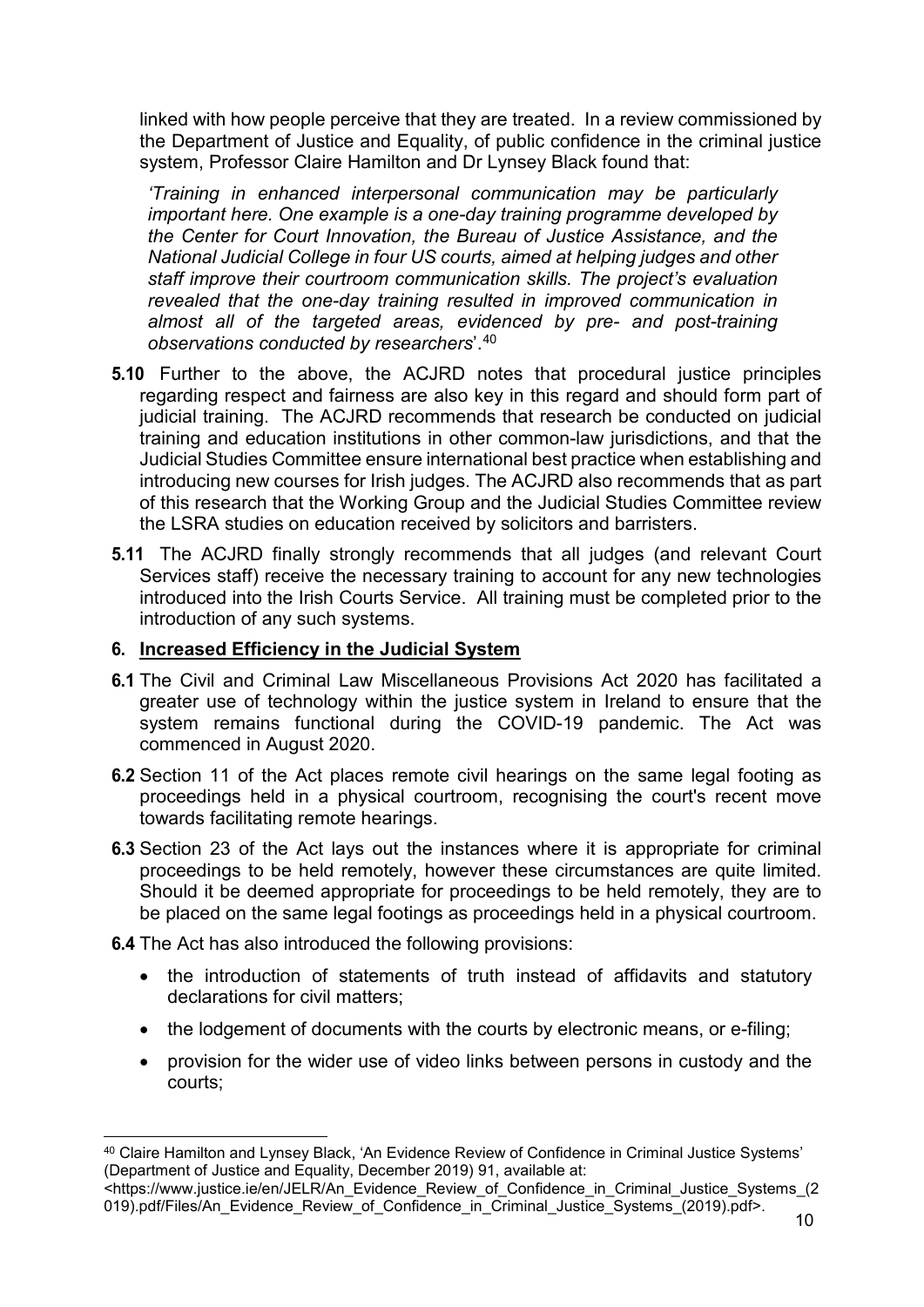linked with how people perceive that they are treated. In a review commissioned by the Department of Justice and Equality, of public confidence in the criminal justice system, Professor Claire Hamilton and Dr Lynsey Black found that:

*'Training in enhanced interpersonal communication may be particularly important here. One example is a one-day training programme developed by the Center for Court Innovation, the Bureau of Justice Assistance, and the National Judicial College in four US courts, aimed at helping judges and other staff improve their courtroom communication skills. The project's evaluation revealed that the one-day training resulted in improved communication in almost all of the targeted areas, evidenced by pre- and post-training observations conducted by researchers*'. [40](#page-10-1)

- **5.10** Further to the above, the ACJRD notes that procedural justice principles regarding respect and fairness are also key in this regard and should form part of judicial training. The ACJRD recommends that research be conducted on judicial training and education institutions in other common-law jurisdictions, and that the Judicial Studies Committee ensure international best practice when establishing and introducing new courses for Irish judges. The ACJRD also recommends that as part of this research that the Working Group and the Judicial Studies Committee review the LSRA studies on education received by solicitors and barristers.
- **5.11** The ACJRD finally strongly recommends that all judges (and relevant Court Services staff) receive the necessary training to account for any new technologies introduced into the Irish Courts Service. All training must be completed prior to the introduction of any such systems.

#### <span id="page-10-0"></span>**6. Increased Efficiency in the Judicial System**

- **6.1** The Civil and Criminal Law Miscellaneous Provisions Act 2020 has facilitated a greater use of technology within the justice system in Ireland to ensure that the system remains functional during the COVID-19 pandemic. The Act was commenced in August 2020.
- **6.2** Section 11 of the Act places remote civil hearings on the same legal footing as proceedings held in a physical courtroom, recognising the court's recent move towards facilitating remote hearings.
- **6.3** Section 23 of the Act lays out the instances where it is appropriate for criminal proceedings to be held remotely, however these circumstances are quite limited. Should it be deemed appropriate for proceedings to be held remotely, they are to be placed on the same legal footings as proceedings held in a physical courtroom.

**6.4** The Act has also introduced the following provisions:

- the introduction of statements of truth instead of affidavits and statutory declarations for civil matters;
- the lodgement of documents with the courts by electronic means, or e-filing;
- provision for the wider use of video links between persons in custody and the courts;

<span id="page-10-1"></span> <sup>40</sup> Claire Hamilton and Lynsey Black, 'An Evidence Review of Confidence in Criminal Justice Systems' (Department of Justice and Equality, December 2019) 91, available at:

<sup>&</sup>lt;https://www.justice.ie/en/JELR/An\_Evidence\_Review\_of\_Confidence\_in\_Criminal\_Justice\_Systems\_(2 019).pdf/Files/An\_Evidence\_Review\_of\_Confidence\_in\_Criminal\_Justice\_Systems\_(2019).pdf>.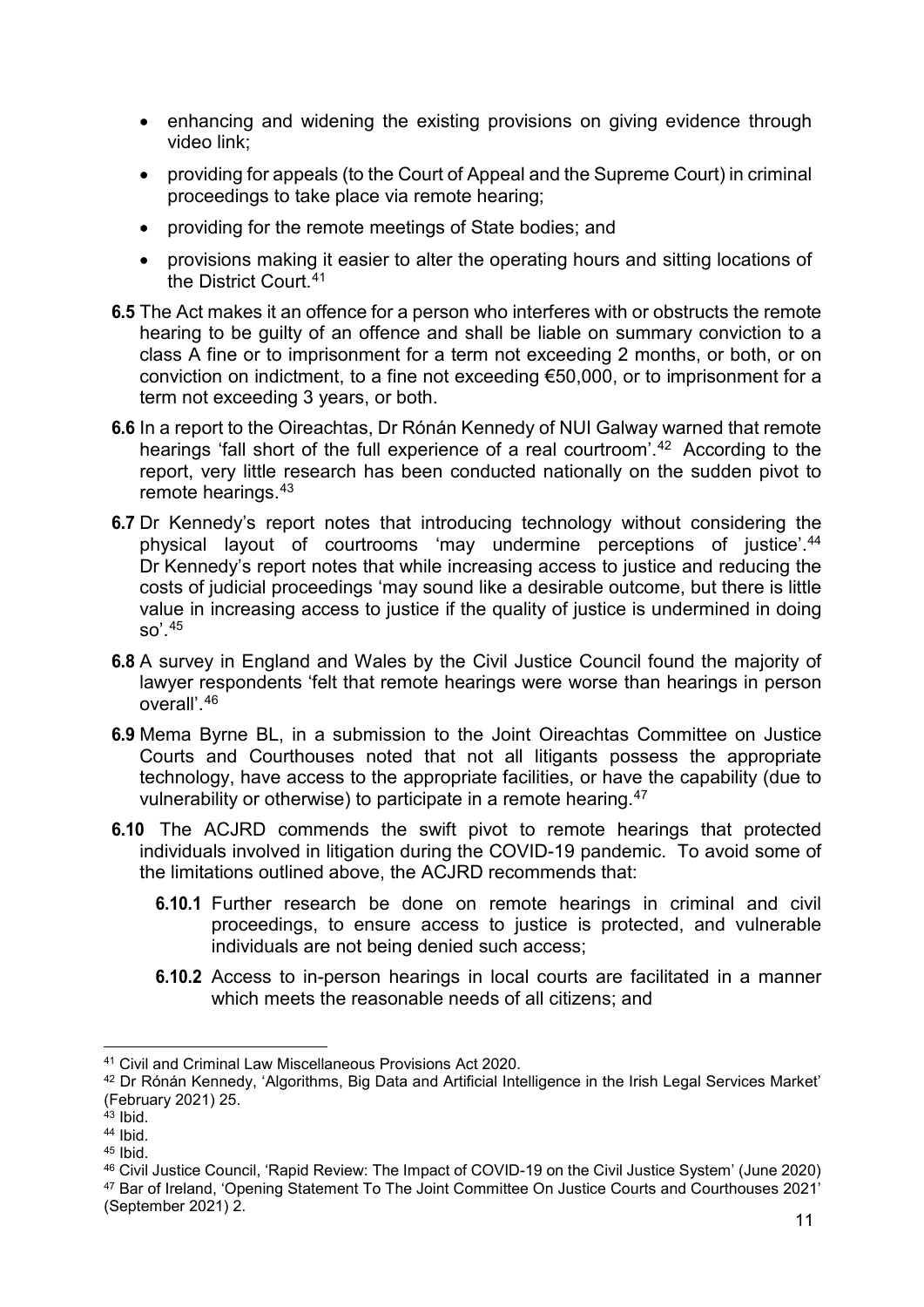- enhancing and widening the existing provisions on giving evidence through video link;
- providing for appeals (to the Court of Appeal and the Supreme Court) in criminal proceedings to take place via remote hearing;
- providing for the remote meetings of State bodies; and
- provisions making it easier to alter the operating hours and sitting locations of the District Court.[41](#page-11-0)
- **6.5** The Act makes it an offence for a person who interferes with or obstructs the remote hearing to be guilty of an offence and shall be liable on summary conviction to a class A fine or to imprisonment for a term not exceeding 2 months, or both, or on conviction on indictment, to a fine not exceeding €50,000, or to imprisonment for a term not exceeding 3 years, or both.
- **6.6** In a report to the Oireachtas, Dr Rónán Kennedy of NUI Galway warned that remote hearings 'fall short of the full experience of a real courtroom'.<sup>[42](#page-11-1)</sup> According to the report, very little research has been conducted nationally on the sudden pivot to remote hearings.[43](#page-11-2)
- **6.7** Dr Kennedy's report notes that introducing technology without considering the physical layout of courtrooms 'may undermine perceptions of justice'.[44](#page-11-3) Dr Kennedy's report notes that while increasing access to justice and reducing the costs of judicial proceedings 'may sound like a desirable outcome, but there is little value in increasing access to justice if the quality of justice is undermined in doing so'.[45](#page-11-4)
- **6.8** A survey in England and Wales by the Civil Justice Council found the majority of lawyer respondents 'felt that remote hearings were worse than hearings in person overall'.[46](#page-11-5)
- **6.9** Mema Byrne BL, in a submission to the Joint Oireachtas Committee on Justice Courts and Courthouses noted that not all litigants possess the appropriate technology, have access to the appropriate facilities, or have the capability (due to vulnerability or otherwise) to participate in a remote hearing.[47](#page-11-6)
- **6.10** The ACJRD commends the swift pivot to remote hearings that protected individuals involved in litigation during the COVID-19 pandemic. To avoid some of the limitations outlined above, the ACJRD recommends that:
	- **6.10.1** Further research be done on remote hearings in criminal and civil proceedings, to ensure access to justice is protected, and vulnerable individuals are not being denied such access;
	- **6.10.2** Access to in-person hearings in local courts are facilitated in a manner which meets the reasonable needs of all citizens; and

<span id="page-11-0"></span> <sup>41</sup> Civil and Criminal Law Miscellaneous Provisions Act 2020.

<span id="page-11-1"></span><sup>42</sup> Dr Rónán Kennedy, 'Algorithms, Big Data and Artificial Intelligence in the Irish Legal Services Market' (February 2021) 25.

<span id="page-11-2"></span> $43$  Ibid.

<span id="page-11-3"></span><sup>44</sup> Ibid.

<span id="page-11-4"></span><sup>45</sup> Ibid.

<span id="page-11-5"></span><sup>46</sup> Civil Justice Council, 'Rapid Review: The Impact of COVID-19 on the Civil Justice System' (June 2020)

<span id="page-11-6"></span><sup>47</sup> Bar of Ireland, 'Opening Statement To The Joint Committee On Justice Courts and Courthouses 2021' (September 2021) 2.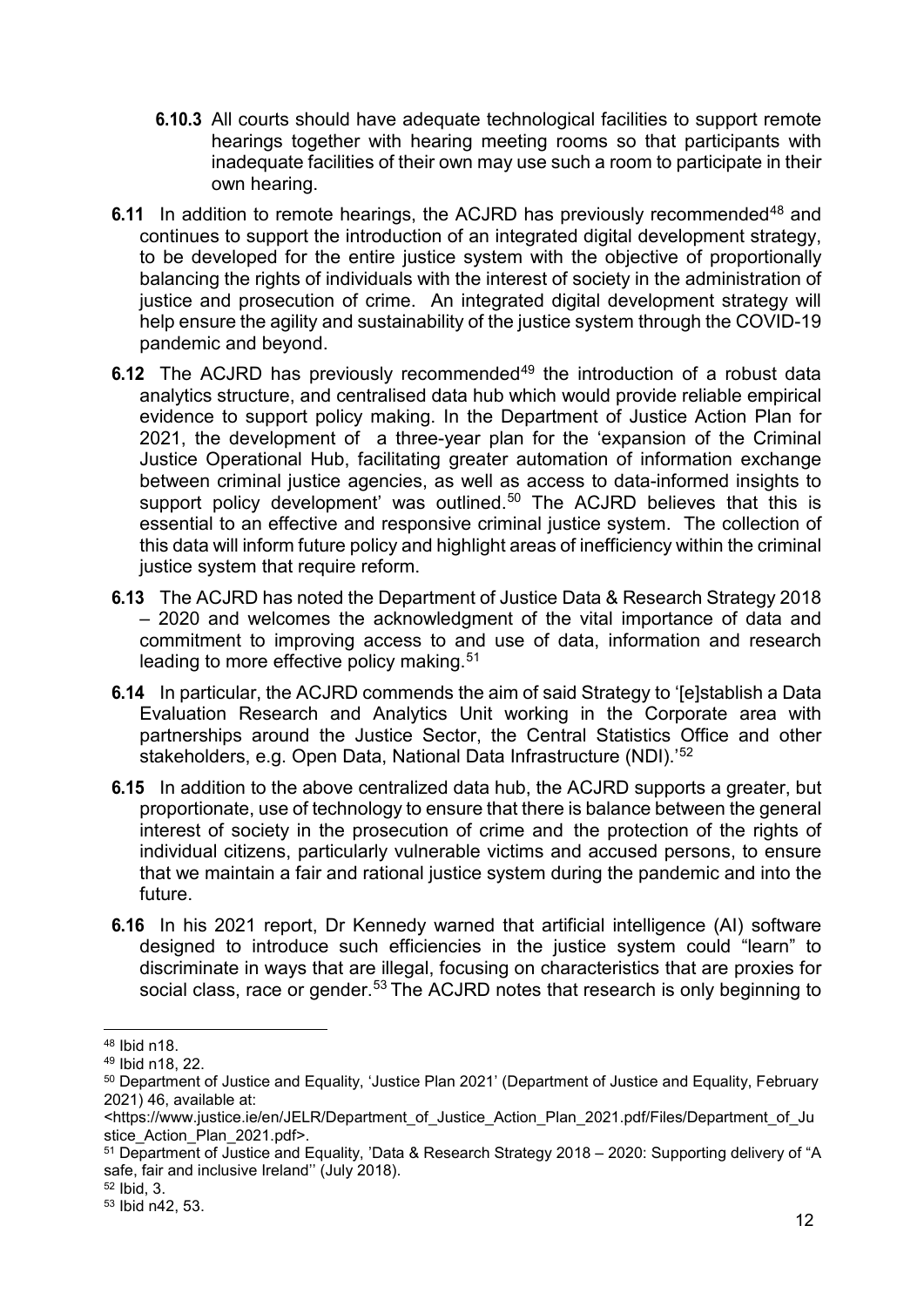- **6.10.3** All courts should have adequate technological facilities to support remote hearings together with hearing meeting rooms so that participants with inadequate facilities of their own may use such a room to participate in their own hearing.
- **6.11** In addition to remote hearings, the ACJRD has previously recommended<sup>48</sup> and continues to support the introduction of an integrated digital development strategy, to be developed for the entire justice system with the objective of proportionally balancing the rights of individuals with the interest of society in the administration of justice and prosecution of crime. An integrated digital development strategy will help ensure the agility and sustainability of the justice system through the COVID-19 pandemic and beyond.
- **6.12** The ACJRD has previously recommended<sup>[49](#page-12-1)</sup> the introduction of a robust data analytics structure, and centralised data hub which would provide reliable empirical evidence to support policy making. In the Department of Justice Action Plan for 2021, the development of a three-year plan for the 'expansion of the Criminal Justice Operational Hub, facilitating greater automation of information exchange between criminal justice agencies, as well as access to data-informed insights to support policy development' was outlined.<sup>[50](#page-12-2)</sup> The ACJRD believes that this is essential to an effective and responsive criminal justice system. The collection of this data will inform future policy and highlight areas of inefficiency within the criminal justice system that require reform.
- **6.13** The ACJRD has noted the Department of Justice Data & Research Strategy 2018 – 2020 and welcomes the acknowledgment of the vital importance of data and commitment to improving access to and use of data, information and research leading to more effective policy making.<sup>[51](#page-12-3)</sup>
- **6.14** In particular, the ACJRD commends the aim of said Strategy to '[e]stablish a Data Evaluation Research and Analytics Unit working in the Corporate area with partnerships around the Justice Sector, the Central Statistics Office and other stakeholders, e.g. Open Data, National Data Infrastructure (NDI).'[52](#page-12-4)
- **6.15** In addition to the above centralized data hub, the ACJRD supports a greater, but proportionate, use of technology to ensure that there is balance between the general interest of society in the prosecution of crime and the protection of the rights of individual citizens, particularly vulnerable victims and accused persons, to ensure that we maintain a fair and rational justice system during the pandemic and into the future.
- **6.16** In his 2021 report, Dr Kennedy warned that artificial intelligence (AI) software designed to introduce such efficiencies in the justice system could "learn" to discriminate in ways that are illegal, focusing on characteristics that are proxies for social class, race or gender.<sup>[53](#page-12-5)</sup> The ACJRD notes that research is only beginning to

<span id="page-12-0"></span> <sup>48</sup> Ibid n18.

<span id="page-12-1"></span><sup>49</sup> Ibid n18, 22.

<span id="page-12-2"></span><sup>50</sup> Department of Justice and Equality, 'Justice Plan 2021' (Department of Justice and Equality, February 2021) 46, available at:

<sup>&</sup>lt;https://www.justice.ie/en/JELR/Department\_of\_Justice\_Action\_Plan\_2021.pdf/Files/Department\_of\_Ju stice\_Action\_Plan\_2021.pdf>.

<span id="page-12-3"></span><sup>51</sup> Department of Justice and Equality, 'Data & Research Strategy 2018 – 2020: Supporting delivery of "A safe, fair and inclusive Ireland'' (July 2018).

<span id="page-12-4"></span><sup>52</sup> Ibid, 3.

<span id="page-12-5"></span><sup>53</sup> Ibid n42, 53.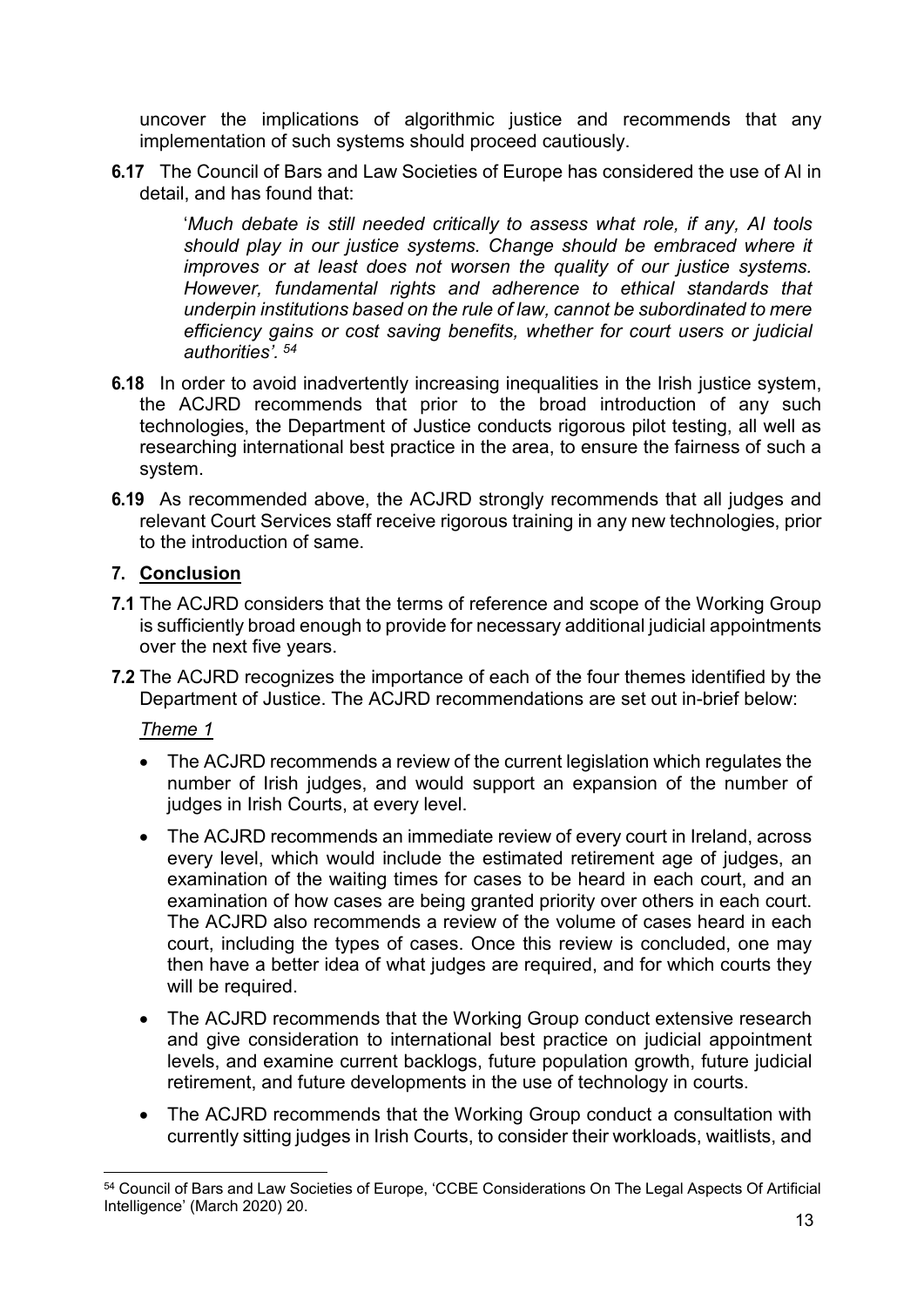uncover the implications of algorithmic justice and recommends that any implementation of such systems should proceed cautiously.

**6.17** The Council of Bars and Law Societies of Europe has considered the use of AI in detail, and has found that:

'*Much debate is still needed critically to assess what role, if any, AI tools should play in our justice systems. Change should be embraced where it improves or at least does not worsen the quality of our justice systems. However, fundamental rights and adherence to ethical standards that underpin institutions based on the rule of law, cannot be subordinated to mere efficiency gains or cost saving benefits, whether for court users or judicial authorities'. [54](#page-13-1)*

- **6.18** In order to avoid inadvertently increasing inequalities in the Irish justice system, the ACJRD recommends that prior to the broad introduction of any such technologies, the Department of Justice conducts rigorous pilot testing, all well as researching international best practice in the area, to ensure the fairness of such a system.
- **6.19** As recommended above, the ACJRD strongly recommends that all judges and relevant Court Services staff receive rigorous training in any new technologies, prior to the introduction of same.

#### <span id="page-13-0"></span>**7. Conclusion**

- **7.1** The ACJRD considers that the terms of reference and scope of the Working Group is sufficiently broad enough to provide for necessary additional judicial appointments over the next five years.
- **7.2** The ACJRD recognizes the importance of each of the four themes identified by the Department of Justice. The ACJRD recommendations are set out in-brief below:

*Theme 1*

- The ACJRD recommends a review of the current legislation which regulates the number of Irish judges, and would support an expansion of the number of judges in Irish Courts, at every level.
- The ACJRD recommends an immediate review of every court in Ireland, across every level, which would include the estimated retirement age of judges, an examination of the waiting times for cases to be heard in each court, and an examination of how cases are being granted priority over others in each court. The ACJRD also recommends a review of the volume of cases heard in each court, including the types of cases. Once this review is concluded, one may then have a better idea of what judges are required, and for which courts they will be required.
- The ACJRD recommends that the Working Group conduct extensive research and give consideration to international best practice on judicial appointment levels, and examine current backlogs, future population growth, future judicial retirement, and future developments in the use of technology in courts.
- The ACJRD recommends that the Working Group conduct a consultation with currently sitting judges in Irish Courts, to consider their workloads, waitlists, and

<span id="page-13-1"></span> <sup>54</sup> Council of Bars and Law Societies of Europe, 'CCBE Considerations On The Legal Aspects Of Artificial Intelligence' (March 2020) 20.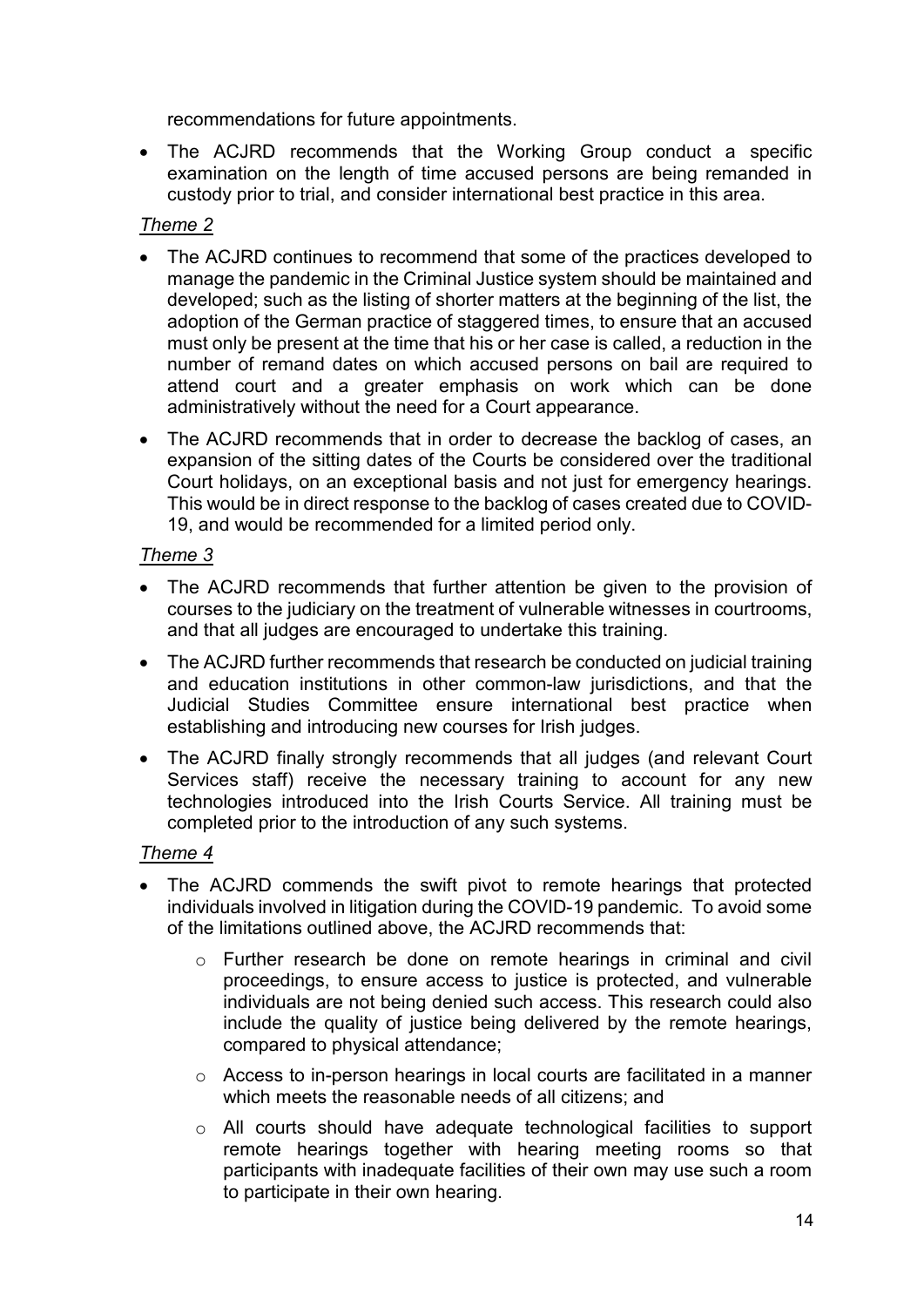recommendations for future appointments.

• The ACJRD recommends that the Working Group conduct a specific examination on the length of time accused persons are being remanded in custody prior to trial, and consider international best practice in this area.

#### *Theme 2*

- The ACJRD continues to recommend that some of the practices developed to manage the pandemic in the Criminal Justice system should be maintained and developed; such as the listing of shorter matters at the beginning of the list, the adoption of the German practice of staggered times, to ensure that an accused must only be present at the time that his or her case is called, a reduction in the number of remand dates on which accused persons on bail are required to attend court and a greater emphasis on work which can be done administratively without the need for a Court appearance.
- The ACJRD recommends that in order to decrease the backlog of cases, an expansion of the sitting dates of the Courts be considered over the traditional Court holidays, on an exceptional basis and not just for emergency hearings. This would be in direct response to the backlog of cases created due to COVID-19, and would be recommended for a limited period only.

#### *Theme 3*

- The ACJRD recommends that further attention be given to the provision of courses to the judiciary on the treatment of vulnerable witnesses in courtrooms, and that all judges are encouraged to undertake this training.
- The ACJRD further recommends that research be conducted on judicial training and education institutions in other common-law jurisdictions, and that the Judicial Studies Committee ensure international best practice when establishing and introducing new courses for Irish judges.
- The ACJRD finally strongly recommends that all judges (and relevant Court Services staff) receive the necessary training to account for any new technologies introduced into the Irish Courts Service. All training must be completed prior to the introduction of any such systems.

#### *Theme 4*

- The ACJRD commends the swift pivot to remote hearings that protected individuals involved in litigation during the COVID-19 pandemic. To avoid some of the limitations outlined above, the ACJRD recommends that:
	- o Further research be done on remote hearings in criminal and civil proceedings, to ensure access to justice is protected, and vulnerable individuals are not being denied such access. This research could also include the quality of justice being delivered by the remote hearings, compared to physical attendance;
	- $\circ$  Access to in-person hearings in local courts are facilitated in a manner which meets the reasonable needs of all citizens; and
	- o All courts should have adequate technological facilities to support remote hearings together with hearing meeting rooms so that participants with inadequate facilities of their own may use such a room to participate in their own hearing.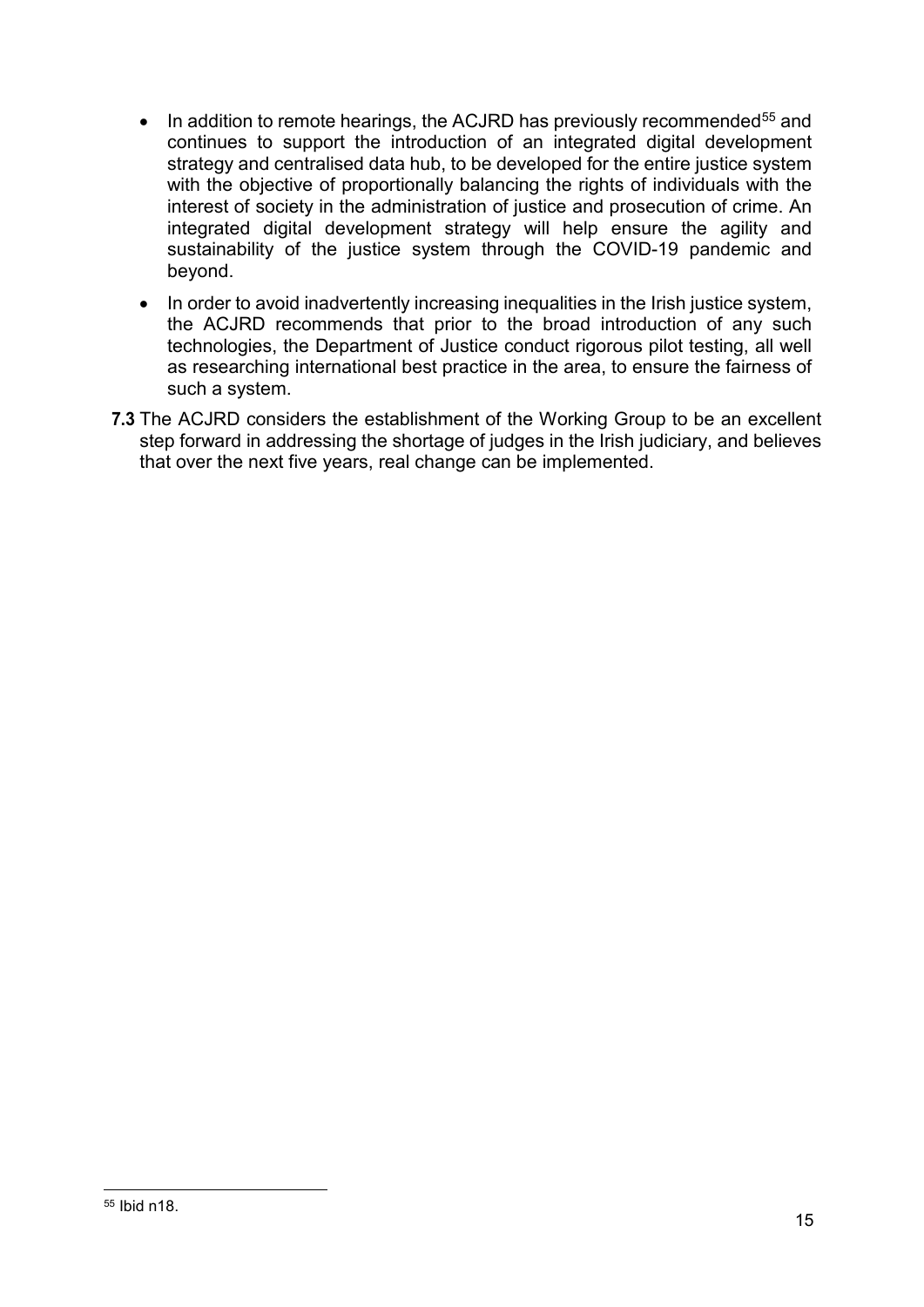- In addition to remote hearings, the ACJRD has previously recommended<sup>[55](#page-15-0)</sup> and continues to support the introduction of an integrated digital development strategy and centralised data hub, to be developed for the entire justice system with the objective of proportionally balancing the rights of individuals with the interest of society in the administration of justice and prosecution of crime. An integrated digital development strategy will help ensure the agility and sustainability of the justice system through the COVID-19 pandemic and beyond.
- In order to avoid inadvertently increasing inequalities in the Irish justice system, the ACJRD recommends that prior to the broad introduction of any such technologies, the Department of Justice conduct rigorous pilot testing, all well as researching international best practice in the area, to ensure the fairness of such a system.
- **7.3** The ACJRD considers the establishment of the Working Group to be an excellent step forward in addressing the shortage of judges in the Irish judiciary, and believes that over the next five years, real change can be implemented.

<span id="page-15-0"></span> <sup>55</sup> Ibid n18.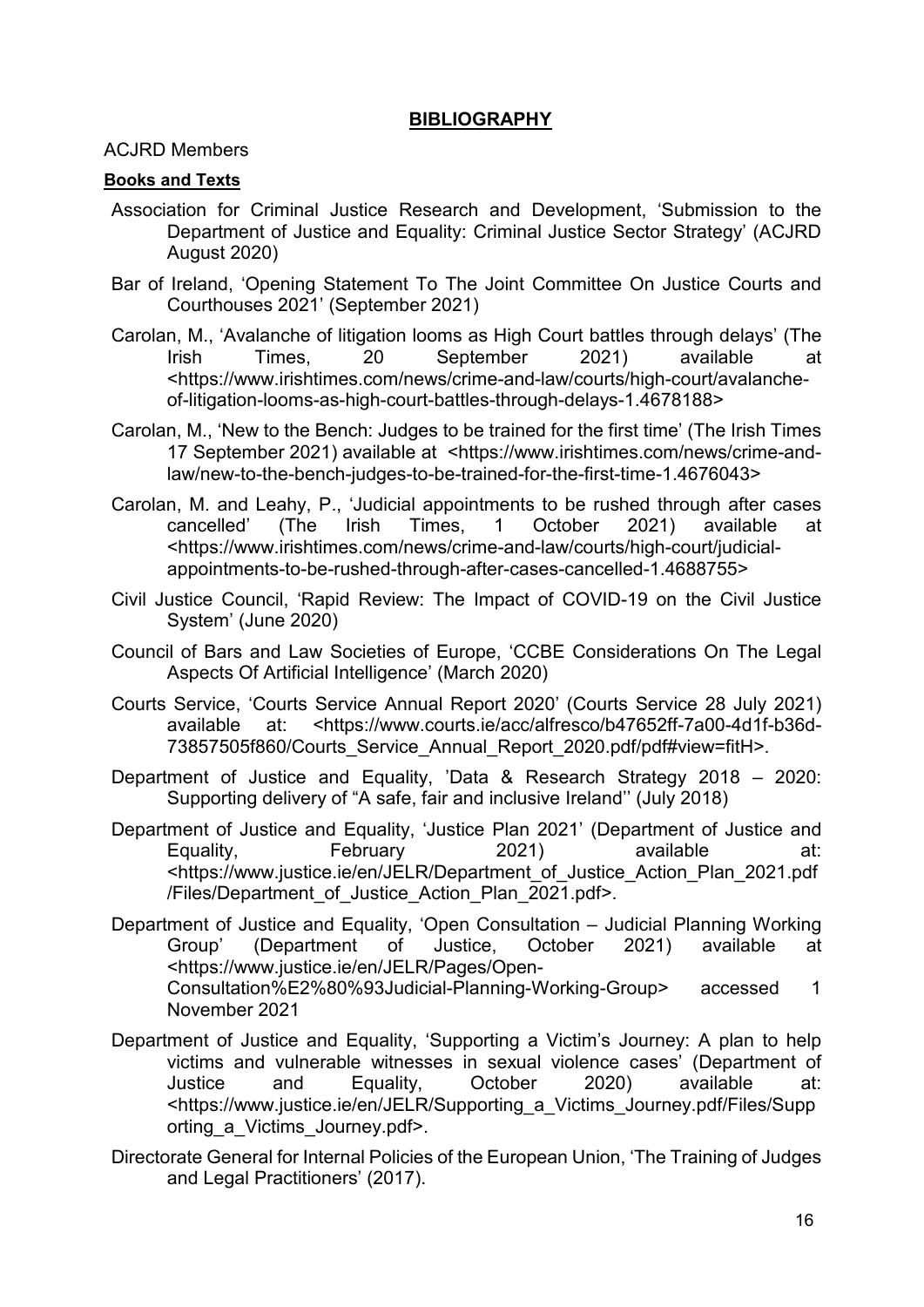#### **BIBLIOGRAPHY**

<span id="page-16-0"></span>ACJRD Members

#### **Books and Texts**

- Association for Criminal Justice Research and Development, 'Submission to the Department of Justice and Equality: Criminal Justice Sector Strategy' (ACJRD August 2020)
- Bar of Ireland, 'Opening Statement To The Joint Committee On Justice Courts and Courthouses 2021' (September 2021)
- Carolan, M., 'Avalanche of litigation looms as High Court battles through delays' (The Irish Times, 20 September 2021) available at <https://www.irishtimes.com/news/crime-and-law/courts/high-court/avalancheof-litigation-looms-as-high-court-battles-through-delays-1.4678188>
- Carolan, M., 'New to the Bench: Judges to be trained for the first time' (The Irish Times 17 September 2021) available at <https://www.irishtimes.com/news/crime-andlaw/new-to-the-bench-judges-to-be-trained-for-the-first-time-1.4676043>
- Carolan, M. and Leahy, P., 'Judicial appointments to be rushed through after cases<br>cancelled' (The lrish Times, 1 October 2021) available at cancelled' (The Irish Times, 1 October 2021) available at <https://www.irishtimes.com/news/crime-and-law/courts/high-court/judicialappointments-to-be-rushed-through-after-cases-cancelled-1.4688755>
- Civil Justice Council, 'Rapid Review: The Impact of COVID-19 on the Civil Justice System' (June 2020)
- Council of Bars and Law Societies of Europe, 'CCBE Considerations On The Legal Aspects Of Artificial Intelligence' (March 2020)
- Courts Service, 'Courts Service Annual Report 2020' (Courts Service 28 July 2021) available at: <https://www.courts.ie/acc/alfresco/b47652ff-7a00-4d1f-b36d-73857505f860/Courts Service Annual Report 2020.pdf/pdf#view=fitH>.
- Department of Justice and Equality, 'Data & Research Strategy 2018 2020: Supporting delivery of "A safe, fair and inclusive Ireland'' (July 2018)
- Department of Justice and Equality, 'Justice Plan 2021' (Department of Justice and Equality, February 2021) available at: <https://www.justice.ie/en/JELR/Department\_of\_Justice\_Action\_Plan\_2021.pdf /Files/Department\_of\_Justice\_Action\_Plan\_2021.pdf>.
- Department of Justice and Equality, 'Open Consultation Judicial Planning Working Group' (Department of Justice, October 2021) available at <https://www.justice.ie/en/JELR/Pages/Open-Consultation%E2%80%93Judicial-Planning-Working-Group> accessed 1 November 2021
- Department of Justice and Equality, 'Supporting a Victim's Journey: A plan to help victims and vulnerable witnesses in sexual violence cases' (Department of Justice and Equality, October 2020) available at: <https://www.justice.ie/en/JELR/Supporting\_a\_Victims\_Journey.pdf/Files/Supp orting\_a\_Victims\_Journey.pdf>.
- Directorate General for Internal Policies of the European Union, 'The Training of Judges and Legal Practitioners' (2017).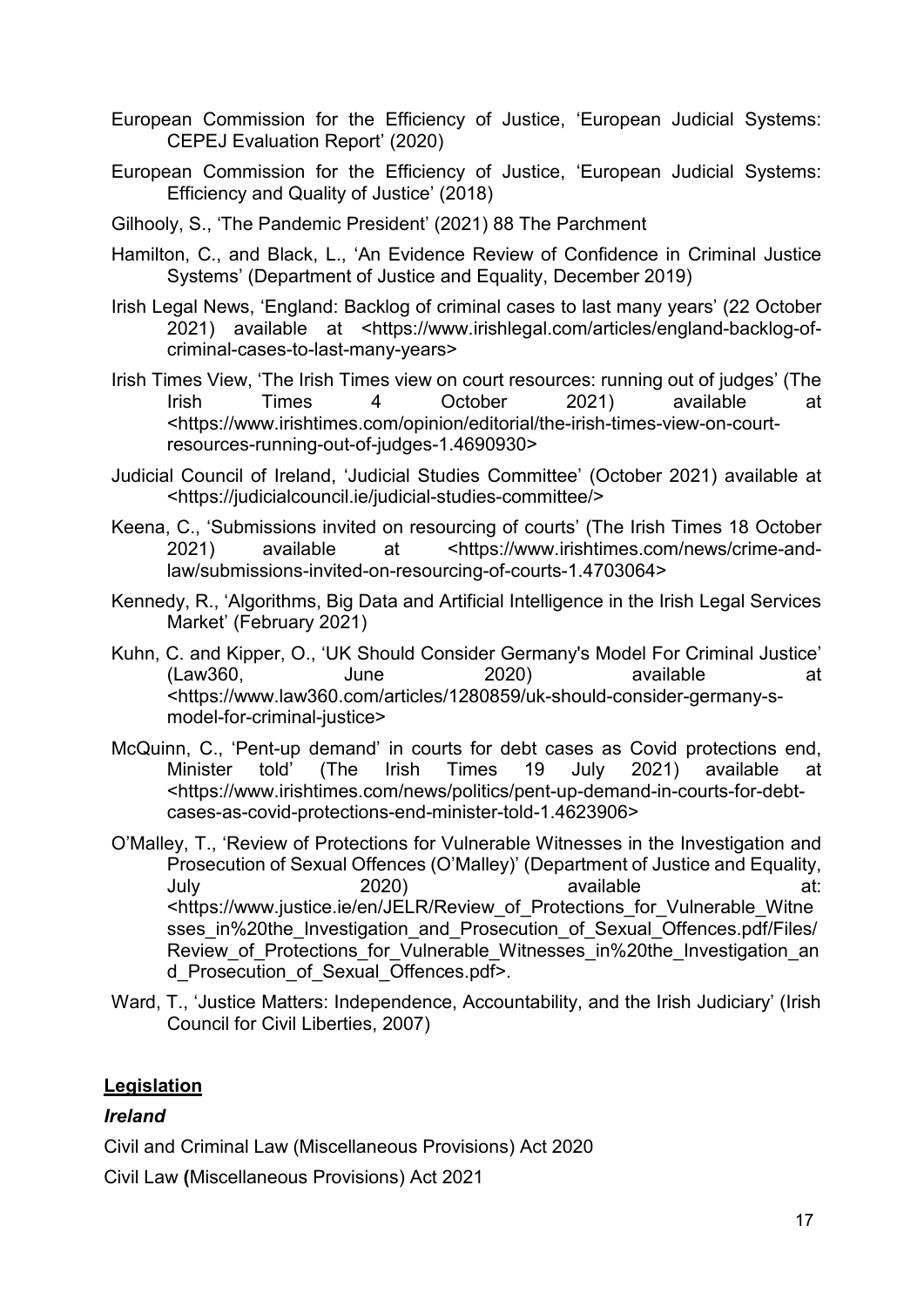- European Commission for the Efficiency of Justice, 'European Judicial Systems: CEPEJ Evaluation Report' (2020)
- European Commission for the Efficiency of Justice, 'European Judicial Systems: Efficiency and Quality of Justice' (2018)
- Gilhooly, S., 'The Pandemic President' (2021) 88 The Parchment
- Hamilton, C., and Black, L., 'An Evidence Review of Confidence in Criminal Justice Systems' (Department of Justice and Equality, December 2019)
- Irish Legal News, 'England: Backlog of criminal cases to last many years' (22 October 2021) available at <https://www.irishlegal.com/articles/england-backlog-ofcriminal-cases-to-last-many-years>
- Irish Times View, 'The Irish Times view on court resources: running out of judges' (The<br>Irish Times 4 October 2021) available at Irish Times 4 October 2021) available at <https://www.irishtimes.com/opinion/editorial/the-irish-times-view-on-courtresources-running-out-of-judges-1.4690930>
- Judicial Council of Ireland, 'Judicial Studies Committee' (October 2021) available at <https://judicialcouncil.ie/judicial-studies-committee/>
- Keena, C., 'Submissions invited on resourcing of courts' (The Irish Times 18 October 2021) available at <https://www.irishtimes.com/news/crime-andlaw/submissions-invited-on-resourcing-of-courts-1.4703064>
- Kennedy, R., 'Algorithms, Big Data and Artificial Intelligence in the Irish Legal Services Market' (February 2021)
- Kuhn, C. and Kipper, O., 'UK Should Consider Germany's Model For Criminal Justice' (Law360, June 2020) available at <https://www.law360.com/articles/1280859/uk-should-consider-germany-smodel-for-criminal-justice>
- McQuinn, C., 'Pent-up demand' in courts for debt cases as Covid protections end, Minister told' (The Irish Times 19 July 2021) available at <https://www.irishtimes.com/news/politics/pent-up-demand-in-courts-for-debtcases-as-covid-protections-end-minister-told-1.4623906>
- O'Malley, T., 'Review of Protections for Vulnerable Witnesses in the Investigation and Prosecution of Sexual Offences (O'Malley)' (Department of Justice and Equality, July 2020) available at: <https://www.justice.ie/en/JELR/Review\_of\_Protections\_for\_Vulnerable\_Witne sses in%20the Investigation and Prosecution of Sexual Offences.pdf/Files/ Review of Protections for Vulnerable Witnesses in%20the Investigation an d\_Prosecution\_of\_Sexual\_Offences.pdf>.
- Ward, T., 'Justice Matters: Independence, Accountability, and the Irish Judiciary' (Irish Council for Civil Liberties, 2007)

#### **Legislation**

#### *Ireland*

Civil and Criminal Law (Miscellaneous Provisions) Act 2020

Civil Law **(**Miscellaneous Provisions) Act 2021